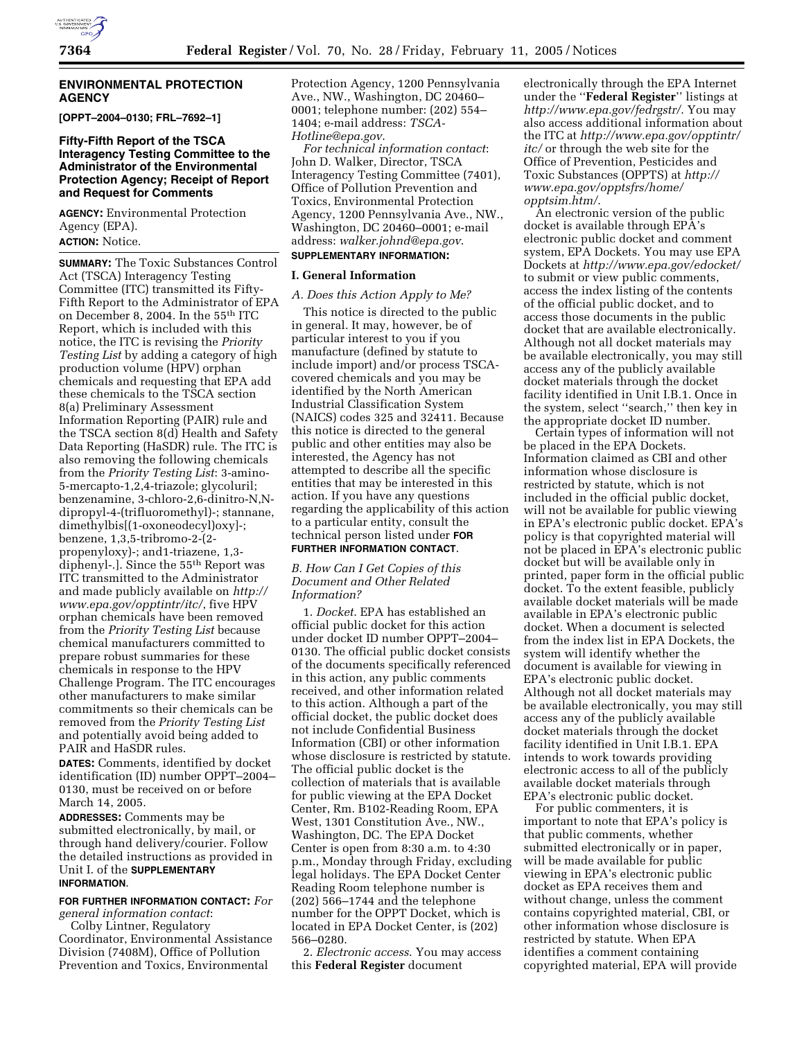## **ENVIRONMENTAL PROTECTION AGENCY**

**[OPPT–2004–0130; FRL–7692–1]**

## **Fifty-Fifth Report of the TSCA Interagency Testing Committee to the Administrator of the Environmental Protection Agency; Receipt of Report and Request for Comments**

**AGENCY:** Environmental Protection Agency (EPA). **ACTION:** Notice.

**SUMMARY:** The Toxic Substances Control Act (TSCA) Interagency Testing Committee (ITC) transmitted its Fifty-Fifth Report to the Administrator of EPA on December 8, 2004. In the 55th ITC Report, which is included with this notice, the ITC is revising the *Priority Testing List* by adding a category of high production volume (HPV) orphan chemicals and requesting that EPA add these chemicals to the TSCA section 8(a) Preliminary Assessment Information Reporting (PAIR) rule and the TSCA section 8(d) Health and Safety Data Reporting (HaSDR) rule. The ITC is also removing the following chemicals from the *Priority Testing List*: 3-amino-5-mercapto-1,2,4-triazole; glycoluril; benzenamine, 3-chloro-2,6-dinitro-N,Ndipropyl-4-(trifluoromethyl)-; stannane, dimethylbis[(1-oxoneodecyl)oxy]-; benzene, 1,3,5-tribromo-2-(2 propenyloxy)-; and1-triazene, 1,3 diphenyl-.]. Since the 55th Report was ITC transmitted to the Administrator and made publicly available on *http:// www.epa.gov/opptintr/itc/*, five HPV orphan chemicals have been removed from the *Priority Testing List* because chemical manufacturers committed to prepare robust summaries for these chemicals in response to the HPV Challenge Program. The ITC encourages other manufacturers to make similar commitments so their chemicals can be removed from the *Priority Testing List* and potentially avoid being added to PAIR and HaSDR rules.

**DATES:** Comments, identified by docket identification (ID) number OPPT–2004– 0130, must be received on or before March 14, 2005.

**ADDRESSES:** Comments may be submitted electronically, by mail, or through hand delivery/courier. Follow the detailed instructions as provided in Unit I. of the **SUPPLEMENTARY INFORMATION**.

# **FOR FURTHER INFORMATION CONTACT:** *For*

*general information contact*: Colby Lintner, Regulatory Coordinator, Environmental Assistance Division (7408M), Office of Pollution Prevention and Toxics, Environmental

Protection Agency, 1200 Pennsylvania Ave., NW., Washington, DC 20460– 0001; telephone number: (202) 554– 1404; e-mail address: *TSCA-Hotline@epa.gov*.

*For technical information contact*: John D. Walker, Director, TSCA Interagency Testing Committee (7401), Office of Pollution Prevention and Toxics, Environmental Protection Agency, 1200 Pennsylvania Ave., NW., Washington, DC 20460–0001; e-mail address: *walker.johnd@epa.gov*.

#### **SUPPLEMENTARY INFORMATION:**

#### **I. General Information**

### *A. Does this Action Apply to Me?*

This notice is directed to the public in general. It may, however, be of particular interest to you if you manufacture (defined by statute to include import) and/or process TSCAcovered chemicals and you may be identified by the North American Industrial Classification System (NAICS) codes 325 and 32411. Because this notice is directed to the general public and other entities may also be interested, the Agency has not attempted to describe all the specific entities that may be interested in this action. If you have any questions regarding the applicability of this action to a particular entity, consult the technical person listed under **FOR FURTHER INFORMATION CONTACT**.

## *B. How Can I Get Copies of this Document and Other Related Information?*

1. *Docket*. EPA has established an official public docket for this action under docket ID number OPPT–2004– 0130. The official public docket consists of the documents specifically referenced in this action, any public comments received, and other information related to this action. Although a part of the official docket, the public docket does not include Confidential Business Information (CBI) or other information whose disclosure is restricted by statute. The official public docket is the collection of materials that is available for public viewing at the EPA Docket Center, Rm. B102-Reading Room, EPA West, 1301 Constitution Ave., NW., Washington, DC. The EPA Docket Center is open from 8:30 a.m. to 4:30 p.m., Monday through Friday, excluding legal holidays. The EPA Docket Center Reading Room telephone number is (202) 566–1744 and the telephone number for the OPPT Docket, which is located in EPA Docket Center, is (202) 566–0280.

2. *Electronic access*. You may access this **Federal Register** document

electronically through the EPA Internet under the ''**Federal Register**'' listings at *http://www.epa.gov/fedrgstr/*. You may also access additional information about the ITC at *http://www.epa.gov/opptintr/ itc/* or through the web site for the Office of Prevention, Pesticides and Toxic Substances (OPPTS) at *http:// www.epa.gov/opptsfrs/home/ opptsim.htm/*.

An electronic version of the public docket is available through EPA's electronic public docket and comment system, EPA Dockets. You may use EPA Dockets at *http://www.epa.gov/edocket/* to submit or view public comments, access the index listing of the contents of the official public docket, and to access those documents in the public docket that are available electronically. Although not all docket materials may be available electronically, you may still access any of the publicly available docket materials through the docket facility identified in Unit I.B.1. Once in the system, select ''search,'' then key in the appropriate docket ID number.

Certain types of information will not be placed in the EPA Dockets. Information claimed as CBI and other information whose disclosure is restricted by statute, which is not included in the official public docket, will not be available for public viewing in EPA's electronic public docket. EPA's policy is that copyrighted material will not be placed in EPA's electronic public docket but will be available only in printed, paper form in the official public docket. To the extent feasible, publicly available docket materials will be made available in EPA's electronic public docket. When a document is selected from the index list in EPA Dockets, the system will identify whether the document is available for viewing in EPA's electronic public docket. Although not all docket materials may be available electronically, you may still access any of the publicly available docket materials through the docket facility identified in Unit I.B.1. EPA intends to work towards providing electronic access to all of the publicly available docket materials through EPA's electronic public docket.

For public commenters, it is important to note that EPA's policy is that public comments, whether submitted electronically or in paper, will be made available for public viewing in EPA's electronic public docket as EPA receives them and without change, unless the comment contains copyrighted material, CBI, or other information whose disclosure is restricted by statute. When EPA identifies a comment containing copyrighted material, EPA will provide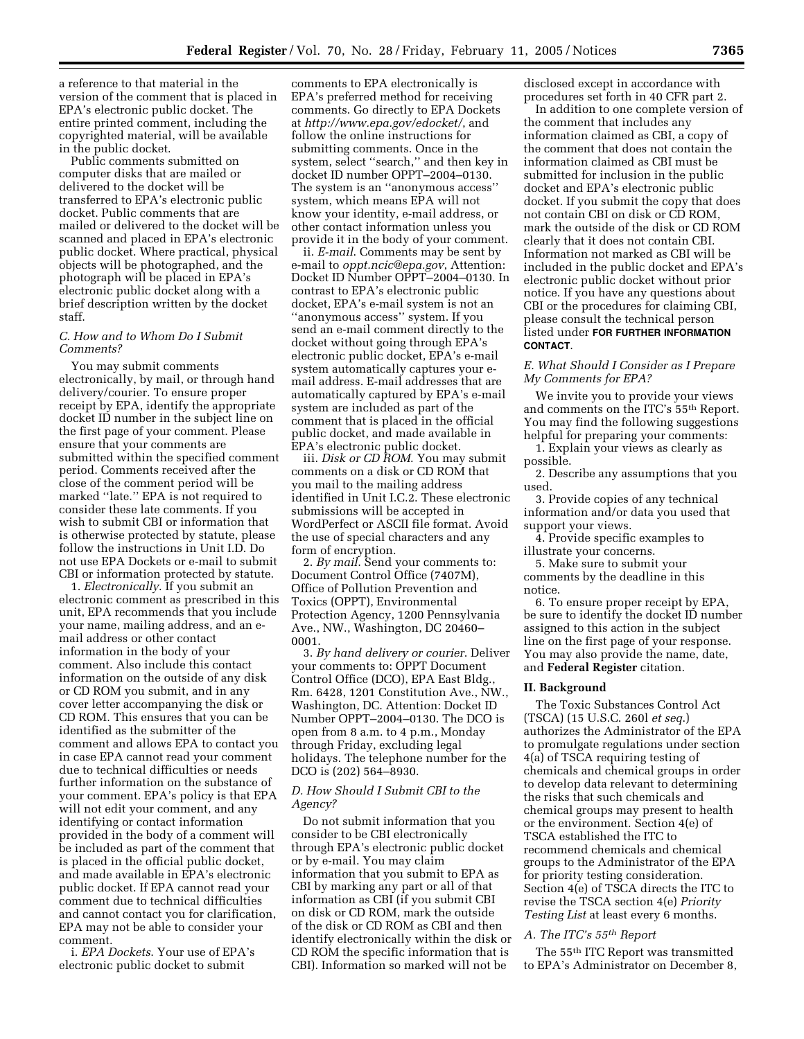a reference to that material in the version of the comment that is placed in EPA's electronic public docket. The entire printed comment, including the copyrighted material, will be available in the public docket.

Public comments submitted on computer disks that are mailed or delivered to the docket will be transferred to EPA's electronic public docket. Public comments that are mailed or delivered to the docket will be scanned and placed in EPA's electronic public docket. Where practical, physical objects will be photographed, and the photograph will be placed in EPA's electronic public docket along with a brief description written by the docket staff.

## *C. How and to Whom Do I Submit Comments?*

You may submit comments electronically, by mail, or through hand delivery/courier. To ensure proper receipt by EPA, identify the appropriate docket ID number in the subject line on the first page of your comment. Please ensure that your comments are submitted within the specified comment period. Comments received after the close of the comment period will be marked ''late.'' EPA is not required to consider these late comments. If you wish to submit CBI or information that is otherwise protected by statute, please follow the instructions in Unit I.D. Do not use EPA Dockets or e-mail to submit CBI or information protected by statute.

1. *Electronically*. If you submit an electronic comment as prescribed in this unit, EPA recommends that you include your name, mailing address, and an email address or other contact information in the body of your comment. Also include this contact information on the outside of any disk or CD ROM you submit, and in any cover letter accompanying the disk or CD ROM. This ensures that you can be identified as the submitter of the comment and allows EPA to contact you in case EPA cannot read your comment due to technical difficulties or needs further information on the substance of your comment. EPA's policy is that EPA will not edit your comment, and any identifying or contact information provided in the body of a comment will be included as part of the comment that is placed in the official public docket, and made available in EPA's electronic public docket. If EPA cannot read your comment due to technical difficulties and cannot contact you for clarification, EPA may not be able to consider your comment.

i. *EPA Dockets*. Your use of EPA's electronic public docket to submit

comments to EPA electronically is EPA's preferred method for receiving comments. Go directly to EPA Dockets at *http://www.epa.gov/edocket/*, and follow the online instructions for submitting comments. Once in the system, select ''search,'' and then key in docket ID number OPPT–2004–0130. The system is an ''anonymous access'' system, which means EPA will not know your identity, e-mail address, or other contact information unless you provide it in the body of your comment.

ii. *E-mail*. Comments may be sent by e-mail to *oppt.ncic@epa.gov*, Attention: Docket ID Number OPPT–2004–0130. In contrast to EPA's electronic public docket, EPA's e-mail system is not an ''anonymous access'' system. If you send an e-mail comment directly to the docket without going through EPA's electronic public docket, EPA's e-mail system automatically captures your email address. E-mail addresses that are automatically captured by EPA's e-mail system are included as part of the comment that is placed in the official public docket, and made available in EPA's electronic public docket.

iii. *Disk or CD ROM*. You may submit comments on a disk or CD ROM that you mail to the mailing address identified in Unit I.C.2. These electronic submissions will be accepted in WordPerfect or ASCII file format. Avoid the use of special characters and any form of encryption.

2. *By mail*. Send your comments to: Document Control Office (7407M), Office of Pollution Prevention and Toxics (OPPT), Environmental Protection Agency, 1200 Pennsylvania Ave., NW., Washington, DC 20460– 0001.

3. *By hand delivery or courier*. Deliver your comments to: OPPT Document Control Office (DCO), EPA East Bldg., Rm. 6428, 1201 Constitution Ave., NW., Washington, DC. Attention: Docket ID Number OPPT–2004–0130. The DCO is open from 8 a.m. to 4 p.m., Monday through Friday, excluding legal holidays. The telephone number for the DCO is (202) 564–8930.

## *D. How Should I Submit CBI to the Agency?*

Do not submit information that you consider to be CBI electronically through EPA's electronic public docket or by e-mail. You may claim information that you submit to EPA as CBI by marking any part or all of that information as CBI (if you submit CBI on disk or CD ROM, mark the outside of the disk or CD ROM as CBI and then identify electronically within the disk or CD ROM the specific information that is CBI). Information so marked will not be

disclosed except in accordance with procedures set forth in 40 CFR part 2.

In addition to one complete version of the comment that includes any information claimed as CBI, a copy of the comment that does not contain the information claimed as CBI must be submitted for inclusion in the public docket and EPA's electronic public docket. If you submit the copy that does not contain CBI on disk or CD ROM, mark the outside of the disk or CD ROM clearly that it does not contain CBI. Information not marked as CBI will be included in the public docket and EPA's electronic public docket without prior notice. If you have any questions about CBI or the procedures for claiming CBI, please consult the technical person listed under **FOR FURTHER INFORMATION CONTACT**.

## *E. What Should I Consider as I Prepare My Comments for EPA?*

We invite you to provide your views and comments on the ITC's 55th Report. You may find the following suggestions helpful for preparing your comments:

1. Explain your views as clearly as possible.

2. Describe any assumptions that you used.

3. Provide copies of any technical information and/or data you used that support your views.

4. Provide specific examples to illustrate your concerns.

5. Make sure to submit your comments by the deadline in this notice.

6. To ensure proper receipt by EPA, be sure to identify the docket ID number assigned to this action in the subject line on the first page of your response. You may also provide the name, date, and **Federal Register** citation.

## **II. Background**

The Toxic Substances Control Act (TSCA) (15 U.S.C. 260l *et seq*.) authorizes the Administrator of the EPA to promulgate regulations under section 4(a) of TSCA requiring testing of chemicals and chemical groups in order to develop data relevant to determining the risks that such chemicals and chemical groups may present to health or the environment. Section 4(e) of TSCA established the ITC to recommend chemicals and chemical groups to the Administrator of the EPA for priority testing consideration. Section 4(e) of TSCA directs the ITC to revise the TSCA section 4(e) *Priority Testing List* at least every 6 months.

## *A. The ITC's 55th Report*

The 55th ITC Report was transmitted to EPA's Administrator on December 8,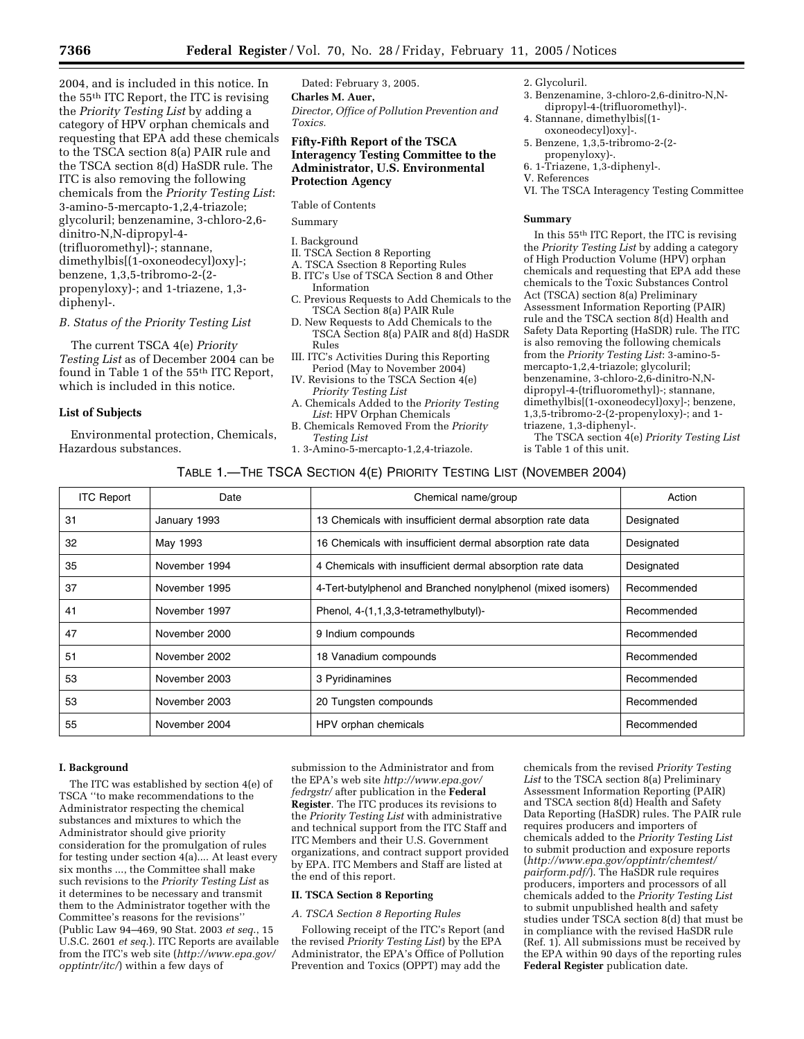2004, and is included in this notice. In the 55th ITC Report, the ITC is revising the *Priority Testing List* by adding a category of HPV orphan chemicals and requesting that EPA add these chemicals to the TSCA section 8(a) PAIR rule and the TSCA section 8(d) HaSDR rule. The ITC is also removing the following chemicals from the *Priority Testing List*: 3-amino-5-mercapto-1,2,4-triazole; glycoluril; benzenamine, 3-chloro-2,6 dinitro-N,N-dipropyl-4- (trifluoromethyl)-; stannane, dimethylbis[(1-oxoneodecyl)oxy]-; benzene, 1,3,5-tribromo-2-(2 propenyloxy)-; and 1-triazene, 1,3 diphenyl-.

## *B. Status of the Priority Testing List*

The current TSCA 4(e) *Priority Testing List* as of December 2004 can be found in Table 1 of the 55<sup>th</sup> ITC Report, which is included in this notice.

## **List of Subjects**

Environmental protection, Chemicals, Hazardous substances.

Dated: February 3, 2005. **Charles M. Auer,** *Director, Office of Pollution Prevention and Toxics.*

## **Fifty-Fifth Report of the TSCA Interagency Testing Committee to the Administrator, U.S. Environmental Protection Agency**

## Table of Contents

Summary

## I. Background

- II. TSCA Section 8 Reporting
- A. TSCA Ssection 8 Reporting Rules
- B. ITC's Use of TSCA Section 8 and Other Information
- C. Previous Requests to Add Chemicals to the TSCA Section 8(a) PAIR Rule
- D. New Requests to Add Chemicals to the TSCA Section 8(a) PAIR and 8(d) HaSDR Rules
- III. ITC's Activities During this Reporting Period (May to November 2004)
- IV. Revisions to the TSCA Section 4(e) *Priority Testing List*
- A. Chemicals Added to the *Priority Testing List*: HPV Orphan Chemicals
- B. Chemicals Removed From the *Priority Testing List*
- 1. 3-Amino-5-mercapto-1,2,4-triazole.
- 2. Glycoluril.
- 3. Benzenamine, 3-chloro-2,6-dinitro-N,Ndipropyl-4-(trifluoromethyl)-.
- 4. Stannane, dimethylbis[(1 oxoneodecyl)oxy]-.
- 5. Benzene, 1,3,5-tribromo-2-(2 propenyloxy)-.
- 6. 1-Triazene, 1,3-diphenyl-.
- V. References
- VI. The TSCA Interagency Testing Committee

#### **Summary**

In this 55th ITC Report, the ITC is revising the *Priority Testing List* by adding a category of High Production Volume (HPV) orphan chemicals and requesting that EPA add these chemicals to the Toxic Substances Control Act (TSCA) section 8(a) Preliminary Assessment Information Reporting (PAIR) rule and the TSCA section 8(d) Health and Safety Data Reporting (HaSDR) rule. The ITC is also removing the following chemicals from the *Priority Testing List*: 3-amino-5 mercapto-1,2,4-triazole; glycoluril; benzenamine, 3-chloro-2,6-dinitro-N,Ndipropyl-4-(trifluoromethyl)-; stannane, dimethylbis[(1-oxoneodecyl)oxy]-; benzene, 1,3,5-tribromo-2-(2-propenyloxy)-; and 1 triazene, 1,3-diphenyl-.

The TSCA section 4(e) *Priority Testing List* is Table 1 of this unit.

| TABLE 1.—THE TSCA SECTION 4(E) PRIORITY TESTING LIST (NOVEMBER 2004) |  |  |  |  |
|----------------------------------------------------------------------|--|--|--|--|
|----------------------------------------------------------------------|--|--|--|--|

| <b>ITC Report</b> | Date          | Chemical name/group                                         | Action      |
|-------------------|---------------|-------------------------------------------------------------|-------------|
| 31                | January 1993  | 13 Chemicals with insufficient dermal absorption rate data  | Designated  |
| 32                | May 1993      | 16 Chemicals with insufficient dermal absorption rate data  | Designated  |
| 35                | November 1994 | 4 Chemicals with insufficient dermal absorption rate data   | Designated  |
| 37                | November 1995 | 4-Tert-butylphenol and Branched nonylphenol (mixed isomers) | Recommended |
| 41                | November 1997 | Phenol, 4-(1,1,3,3-tetramethylbutyl)-                       | Recommended |
| 47                | November 2000 | 9 Indium compounds                                          | Recommended |
| 51                | November 2002 | 18 Vanadium compounds                                       | Recommended |
| 53                | November 2003 | 3 Pyridinamines                                             | Recommended |
| 53                | November 2003 | 20 Tungsten compounds                                       | Recommended |
| 55                | November 2004 | HPV orphan chemicals                                        | Recommended |

#### **I. Background**

The ITC was established by section 4(e) of TSCA ''to make recommendations to the Administrator respecting the chemical substances and mixtures to which the Administrator should give priority consideration for the promulgation of rules for testing under section 4(a).... At least every six months ..., the Committee shall make such revisions to the *Priority Testing List* as it determines to be necessary and transmit them to the Administrator together with the Committee's reasons for the revisions'' (Public Law 94–469, 90 Stat. 2003 *et seq*., 15 U.S.C. 2601 *et seq*.). ITC Reports are available from the ITC's web site (*http://www.epa.gov/ opptintr/itc/*) within a few days of

submission to the Administrator and from the EPA's web site *http://www.epa.gov/ fedrgstr/* after publication in the **Federal Register**. The ITC produces its revisions to the *Priority Testing List* with administrative and technical support from the ITC Staff and ITC Members and their U.S. Government organizations, and contract support provided by EPA. ITC Members and Staff are listed at the end of this report.

### **II. TSCA Section 8 Reporting**

#### *A. TSCA Section 8 Reporting Rules*

Following receipt of the ITC's Report (and the revised *Priority Testing List*) by the EPA Administrator, the EPA's Office of Pollution Prevention and Toxics (OPPT) may add the

chemicals from the revised *Priority Testing List* to the TSCA section 8(a) Preliminary Assessment Information Reporting (PAIR) and TSCA section 8(d) Health and Safety Data Reporting (HaSDR) rules. The PAIR rule requires producers and importers of chemicals added to the *Priority Testing List* to submit production and exposure reports (*http://www.epa.gov/opptintr/chemtest/ pairform.pdf/*). The HaSDR rule requires producers, importers and processors of all chemicals added to the *Priority Testing List* to submit unpublished health and safety studies under TSCA section 8(d) that must be in compliance with the revised HaSDR rule (Ref. 1). All submissions must be received by the EPA within 90 days of the reporting rules **Federal Register** publication date.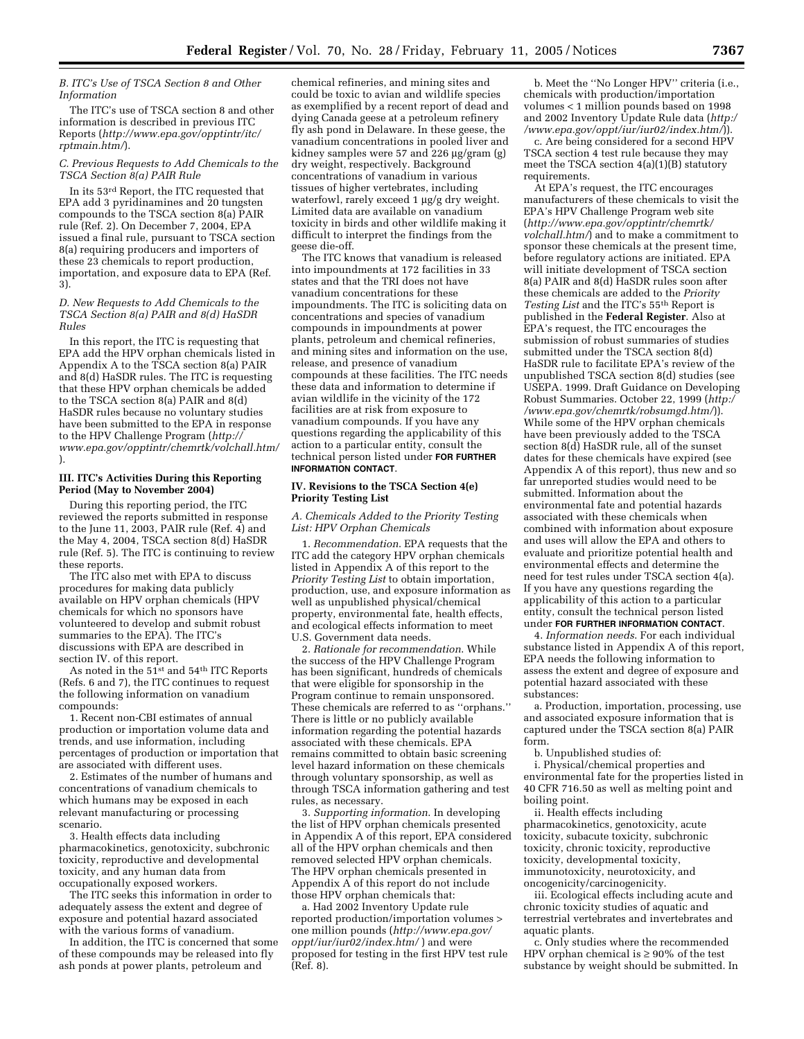#### *B. ITC's Use of TSCA Section 8 and Other Information*

The ITC's use of TSCA section 8 and other information is described in previous ITC Reports (*http://www.epa.gov/opptintr/itc/ rptmain.htm/*).

#### *C. Previous Requests to Add Chemicals to the TSCA Section 8(a) PAIR Rule*

In its 53rd Report, the ITC requested that EPA add 3 pyridinamines and 20 tungsten compounds to the TSCA section 8(a) PAIR rule (Ref. 2). On December 7, 2004, EPA issued a final rule, pursuant to TSCA section 8(a) requiring producers and importers of these 23 chemicals to report production, importation, and exposure data to EPA (Ref. 3).

#### *D. New Requests to Add Chemicals to the TSCA Section 8(a) PAIR and 8(d) HaSDR Rules*

In this report, the ITC is requesting that EPA add the HPV orphan chemicals listed in Appendix A to the TSCA section 8(a) PAIR and 8(d) HaSDR rules. The ITC is requesting that these HPV orphan chemicals be added to the TSCA section 8(a) PAIR and 8(d) HaSDR rules because no voluntary studies have been submitted to the EPA in response to the HPV Challenge Program (*http:// www.epa.gov/opptintr/chemrtk/volchall.htm/* ).

### **III. ITC's Activities During this Reporting Period (May to November 2004)**

During this reporting period, the ITC reviewed the reports submitted in response to the June 11, 2003, PAIR rule (Ref. 4) and the May 4, 2004, TSCA section 8(d) HaSDR rule (Ref. 5). The ITC is continuing to review these reports.

The ITC also met with EPA to discuss procedures for making data publicly available on HPV orphan chemicals (HPV chemicals for which no sponsors have volunteered to develop and submit robust summaries to the EPA). The ITC's discussions with EPA are described in section IV. of this report.

As noted in the 51<sup>st</sup> and 54<sup>th</sup> ITC Reports (Refs. 6 and 7), the ITC continues to request the following information on vanadium compounds:

1. Recent non-CBI estimates of annual production or importation volume data and trends, and use information, including percentages of production or importation that are associated with different uses.

2. Estimates of the number of humans and concentrations of vanadium chemicals to which humans may be exposed in each relevant manufacturing or processing scenario.

3. Health effects data including pharmacokinetics, genotoxicity, subchronic toxicity, reproductive and developmental toxicity, and any human data from occupationally exposed workers.

The ITC seeks this information in order to adequately assess the extent and degree of exposure and potential hazard associated with the various forms of vanadium.

In addition, the ITC is concerned that some of these compounds may be released into fly ash ponds at power plants, petroleum and

chemical refineries, and mining sites and could be toxic to avian and wildlife species as exemplified by a recent report of dead and dying Canada geese at a petroleum refinery fly ash pond in Delaware. In these geese, the vanadium concentrations in pooled liver and kidney samples were 57 and 226 µg/gram (g) dry weight, respectively. Background concentrations of vanadium in various tissues of higher vertebrates, including waterfowl, rarely exceed 1 µg/g dry weight. Limited data are available on vanadium toxicity in birds and other wildlife making it difficult to interpret the findings from the geese die-off.

The ITC knows that vanadium is released into impoundments at 172 facilities in 33 states and that the TRI does not have vanadium concentrations for these impoundments. The ITC is soliciting data on concentrations and species of vanadium compounds in impoundments at power plants, petroleum and chemical refineries, and mining sites and information on the use, release, and presence of vanadium compounds at these facilities. The ITC needs these data and information to determine if avian wildlife in the vicinity of the 172 facilities are at risk from exposure to vanadium compounds. If you have any questions regarding the applicability of this action to a particular entity, consult the technical person listed under **FOR FURTHER INFORMATION CONTACT**.

#### **IV. Revisions to the TSCA Section 4(e) Priority Testing List**

#### *A. Chemicals Added to the Priority Testing List: HPV Orphan Chemicals*

1. *Recommendation*. EPA requests that the ITC add the category HPV orphan chemicals listed in Appendix A of this report to the *Priority Testing List* to obtain importation, production, use, and exposure information as well as unpublished physical/chemical property, environmental fate, health effects, and ecological effects information to meet U.S. Government data needs.

2. *Rationale for recommendation*. While the success of the HPV Challenge Program has been significant, hundreds of chemicals that were eligible for sponsorship in the Program continue to remain unsponsored. These chemicals are referred to as ''orphans.'' There is little or no publicly available information regarding the potential hazards associated with these chemicals. EPA remains committed to obtain basic screening level hazard information on these chemicals through voluntary sponsorship, as well as through TSCA information gathering and test rules, as necessary.

3. *Supporting information*. In developing the list of HPV orphan chemicals presented in Appendix A of this report, EPA considered all of the HPV orphan chemicals and then removed selected HPV orphan chemicals. The HPV orphan chemicals presented in Appendix  $\overrightarrow{A}$  of this report do not include those HPV orphan chemicals that:

a. Had 2002 Inventory Update rule reported production/importation volumes > one million pounds (*http://www.epa.gov/ oppt/iur/iur02/index.htm/* ) and were proposed for testing in the first HPV test rule  $(Ref. 8)$ .

b. Meet the ''No Longer HPV'' criteria (i.e., chemicals with production/importation volumes < 1 million pounds based on 1998 and 2002 Inventory Update Rule data (*http:/ /www.epa.gov/oppt/iur/iur02/index.htm/*)).

c. Are being considered for a second HPV TSCA section 4 test rule because they may meet the TSCA section 4(a)(1)(B) statutory requirements.

At EPA's request, the ITC encourages manufacturers of these chemicals to visit the EPA's HPV Challenge Program web site (*http://www.epa.gov/opptintr/chemrtk/ volchall.htm/*) and to make a commitment to sponsor these chemicals at the present time, before regulatory actions are initiated. EPA will initiate development of TSCA section 8(a) PAIR and 8(d) HaSDR rules soon after these chemicals are added to the *Priority Testing List* and the ITC's 55th Report is published in the **Federal Register**. Also at EPA's request, the ITC encourages the submission of robust summaries of studies submitted under the TSCA section 8(d) HaSDR rule to facilitate EPA's review of the unpublished TSCA section 8(d) studies (see USEPA. 1999. Draft Guidance on Developing Robust Summaries. October 22, 1999 (*http:/ /www.epa.gov/chemrtk/robsumgd.htm/*)). While some of the HPV orphan chemicals have been previously added to the TSCA section 8(d) HaSDR rule, all of the sunset dates for these chemicals have expired (see Appendix A of this report), thus new and so far unreported studies would need to be submitted. Information about the environmental fate and potential hazards associated with these chemicals when combined with information about exposure and uses will allow the EPA and others to evaluate and prioritize potential health and environmental effects and determine the need for test rules under TSCA section 4(a). If you have any questions regarding the applicability of this action to a particular entity, consult the technical person listed under **FOR FURTHER INFORMATION CONTACT**.

4. *Information needs*. For each individual substance listed in Appendix A of this report, EPA needs the following information to assess the extent and degree of exposure and potential hazard associated with these substances:

a. Production, importation, processing, use and associated exposure information that is captured under the TSCA section 8(a) PAIR form.

b. Unpublished studies of:

i. Physical/chemical properties and environmental fate for the properties listed in 40 CFR 716.50 as well as melting point and boiling point.

ii. Health effects including pharmacokinetics, genotoxicity, acute toxicity, subacute toxicity, subchronic toxicity, chronic toxicity, reproductive toxicity, developmental toxicity, immunotoxicity, neurotoxicity, and oncogenicity/carcinogenicity.

iii. Ecological effects including acute and chronic toxicity studies of aquatic and terrestrial vertebrates and invertebrates and aquatic plants.

c. Only studies where the recommended HPV orphan chemical is  $\geq 90\%$  of the test substance by weight should be submitted. In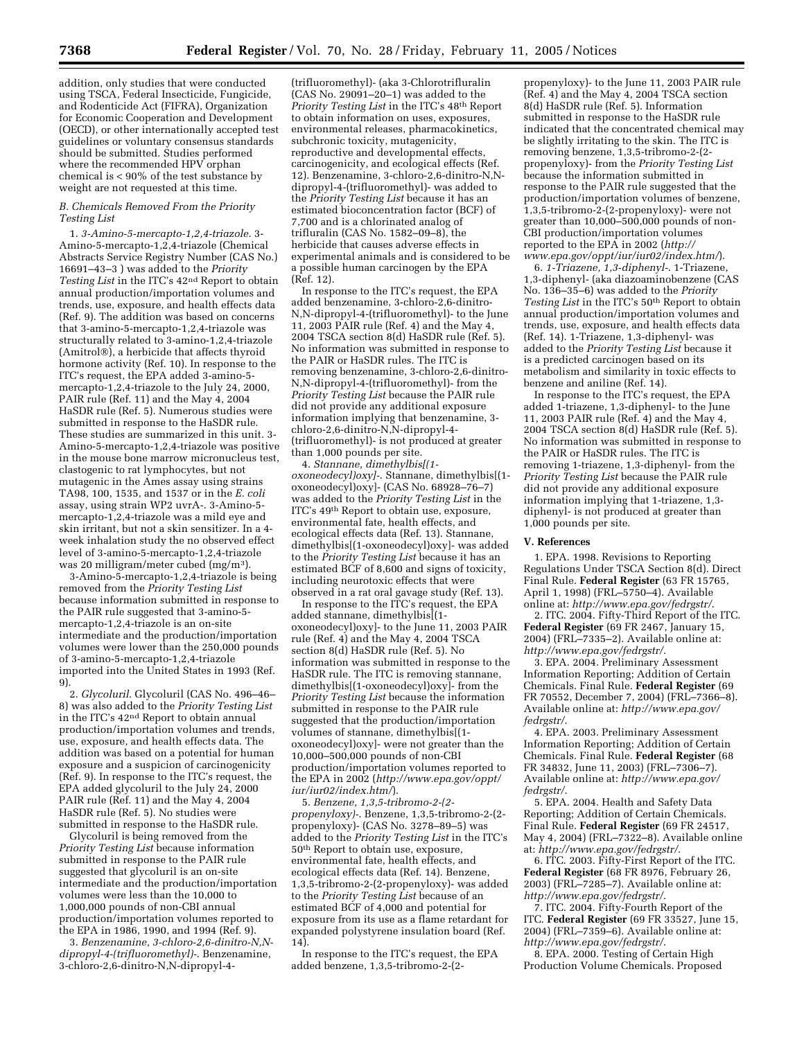addition, only studies that were conducted using TSCA, Federal Insecticide, Fungicide, and Rodenticide Act (FIFRA), Organization for Economic Cooperation and Development (OECD), or other internationally accepted test guidelines or voluntary consensus standards should be submitted. Studies performed where the recommended HPV orphan chemical is < 90% of the test substance by weight are not requested at this time.

## *B. Chemicals Removed From the Priority Testing List*

1. *3-Amino-5-mercapto-1,2,4-triazole*. 3- Amino-5-mercapto-1,2,4-triazole (Chemical Abstracts Service Registry Number (CAS No.) 16691–43–3 ) was added to the *Priority Testing List* in the ITC's 42nd Report to obtain annual production/importation volumes and trends, use, exposure, and health effects data (Ref. 9). The addition was based on concerns that 3-amino-5-mercapto-1,2,4-triazole was structurally related to 3-amino-1,2,4-triazole (Amitrol®), a herbicide that affects thyroid hormone activity (Ref. 10). In response to the ITC's request, the EPA added 3-amino-5 mercapto-1,2,4-triazole to the July 24, 2000, PAIR rule (Ref. 11) and the May 4, 2004 HaSDR rule (Ref. 5). Numerous studies were submitted in response to the HaSDR rule. These studies are summarized in this unit. 3- Amino-5-mercapto-1,2,4-triazole was positive in the mouse bone marrow micronucleus test, clastogenic to rat lymphocytes, but not mutagenic in the Ames assay using strains TA98, 100, 1535, and 1537 or in the *E. coli* assay, using strain WP2 uvrA-. 3-Amino-5 mercapto-1,2,4-triazole was a mild eye and skin irritant, but not a skin sensitizer. In a 4 week inhalation study the no observed effect level of 3-amino-5-mercapto-1,2,4-triazole was 20 milligram/meter cubed (mg/m3).

3-Amino-5-mercapto-1,2,4-triazole is being removed from the *Priority Testing List* because information submitted in response to the PAIR rule suggested that 3-amino-5 mercapto-1,2,4-triazole is an on-site intermediate and the production/importation volumes were lower than the 250,000 pounds of 3-amino-5-mercapto-1,2,4-triazole imported into the United States in 1993 (Ref. 9).

2. *Glycoluril*. Glycoluril (CAS No. 496–46– 8) was also added to the *Priority Testing List* in the ITC's 42nd Report to obtain annual production/importation volumes and trends, use, exposure, and health effects data. The addition was based on a potential for human exposure and a suspicion of carcinogenicity (Ref. 9). In response to the ITC's request, the EPA added glycoluril to the July 24, 2000 PAIR rule (Ref. 11) and the May 4, 2004 HaSDR rule (Ref. 5). No studies were submitted in response to the HaSDR rule.

Glycoluril is being removed from the *Priority Testing List* because information submitted in response to the PAIR rule suggested that glycoluril is an on-site intermediate and the production/importation volumes were less than the 10,000 to 1,000,000 pounds of non-CBI annual production/importation volumes reported to the EPA in 1986, 1990, and 1994 (Ref. 9).

3. *Benzenamine, 3-chloro-2,6-dinitro-N,Ndipropyl-4-(trifluoromethyl)-*. Benzenamine, 3-chloro-2,6-dinitro-N,N-dipropyl-4-

(trifluoromethyl)- (aka 3-Chlorotrifluralin  $(CAS No. 29091–20–1)$  was added to the *Priority Testing List* in the ITC's 48th Report to obtain information on uses, exposures, environmental releases, pharmacokinetics, subchronic toxicity, mutagenicity, reproductive and developmental effects, carcinogenicity, and ecological effects (Ref. 12). Benzenamine, 3-chloro-2,6-dinitro-N,Ndipropyl-4-(trifluoromethyl)- was added to the *Priority Testing List* because it has an estimated bioconcentration factor (BCF) of 7,700 and is a chlorinated analog of trifluralin (CAS No. 1582–09–8), the herbicide that causes adverse effects in experimental animals and is considered to be a possible human carcinogen by the EPA (Ref. 12).

In response to the ITC's request, the EPA added benzenamine, 3-chloro-2,6-dinitro-N,N-dipropyl-4-(trifluoromethyl)- to the June 11, 2003 PAIR rule (Ref. 4) and the May 4, 2004 TSCA section 8(d) HaSDR rule (Ref. 5). No information was submitted in response to the PAIR or HaSDR rules. The ITC is removing benzenamine, 3-chloro-2,6-dinitro-N,N-dipropyl-4-(trifluoromethyl)- from the *Priority Testing List* because the PAIR rule did not provide any additional exposure information implying that benzenamine, 3 chloro-2,6-dinitro-N,N-dipropyl-4- (trifluoromethyl)- is not produced at greater than 1,000 pounds per site.

4. *Stannane, dimethylbis[(1 oxoneodecyl)oxy]-*. Stannane, dimethylbis[(1 oxoneodecyl)oxy]- (CAS No. 68928–76–7) was added to the *Priority Testing List* in the ITC's 49th Report to obtain use, exposure, environmental fate, health effects, and ecological effects data (Ref. 13). Stannane, dimethylbis[(1-oxoneodecyl)oxy]- was added to the *Priority Testing List* because it has an estimated BCF of 8,600 and signs of toxicity, including neurotoxic effects that were observed in a rat oral gavage study (Ref. 13).

In response to the ITC's request, the EPA added stannane, dimethylbis[(1 oxoneodecyl)oxy]- to the June 11, 2003 PAIR rule (Ref. 4) and the May 4, 2004 TSCA section 8(d) HaSDR rule (Ref. 5). No information was submitted in response to the HaSDR rule. The ITC is removing stannane, dimethylbis[(1-oxoneodecyl)oxy]- from the *Priority Testing List* because the information submitted in response to the PAIR rule suggested that the production/importation volumes of stannane, dimethylbis[(1 oxoneodecyl)oxy]- were not greater than the 10,000–500,000 pounds of non-CBI production/importation volumes reported to the EPA in 2002 (*http://www.epa.gov/oppt/ iur/iur02/index.htm/*).

5. *Benzene, 1,3,5-tribromo-2-(2 propenyloxy)-*. Benzene, 1,3,5-tribromo-2-(2 propenyloxy)- (CAS No. 3278–89–5) was added to the *Priority Testing List* in the ITC's 50th Report to obtain use, exposure, environmental fate, health effects, and ecological effects data (Ref. 14). Benzene, 1,3,5-tribromo-2-(2-propenyloxy)- was added to the *Priority Testing List* because of an estimated BCF of 4,000 and potential for exposure from its use as a flame retardant for expanded polystyrene insulation board (Ref. 14).

In response to the ITC's request, the EPA added benzene, 1,3,5-tribromo-2-(2-

propenyloxy)- to the June 11, 2003 PAIR rule (Ref. 4) and the May 4, 2004 TSCA section 8(d) HaSDR rule (Ref. 5). Information submitted in response to the HaSDR rule indicated that the concentrated chemical may be slightly irritating to the skin. The ITC is removing benzene, 1,3,5-tribromo-2-(2 propenyloxy)- from the *Priority Testing List* because the information submitted in response to the PAIR rule suggested that the production/importation volumes of benzene, 1,3,5-tribromo-2-(2-propenyloxy)- were not greater than 10,000–500,000 pounds of non-CBI production/importation volumes reported to the EPA in 2002 (*http:// www.epa.gov/oppt/iur/iur02/index.htm/*).

6. *1-Triazene, 1,3-diphenyl-*. 1-Triazene, 1,3-diphenyl- (aka diazoaminobenzene (CAS No. 136–35–6) was added to the *Priority Testing List* in the ITC's 50th Report to obtain annual production/importation volumes and trends, use, exposure, and health effects data (Ref. 14). 1-Triazene, 1,3-diphenyl- was added to the *Priority Testing List* because it is a predicted carcinogen based on its metabolism and similarity in toxic effects to benzene and aniline (Ref. 14).

In response to the ITC's request, the EPA added 1-triazene, 1,3-diphenyl- to the June 11, 2003 PAIR rule (Ref. 4) and the May 4, 2004 TSCA section 8(d) HaSDR rule (Ref. 5). No information was submitted in response to the PAIR or HaSDR rules. The ITC is removing 1-triazene, 1,3-diphenyl- from the *Priority Testing List* because the PAIR rule did not provide any additional exposure information implying that 1-triazene, 1,3 diphenyl- is not produced at greater than 1,000 pounds per site.

## **V. References**

1. EPA. 1998. Revisions to Reporting Regulations Under TSCA Section 8(d). Direct Final Rule. **Federal Register** (63 FR 15765, April 1, 1998) (FRL–5750–4). Available online at: *http://www.epa.gov/fedrgstr/*.

2. ITC. 2004. Fifty-Third Report of the ITC. **Federal Register** (69 FR 2467, January 15, 2004) (FRL–7335–2). Available online at: *http://www.epa.gov/fedrgstr/*.

3. EPA. 2004. Preliminary Assessment Information Reporting; Addition of Certain Chemicals. Final Rule. **Federal Register** (69 FR 70552, December 7, 2004) (FRL–7366–8). Available online at: *http://www.epa.gov/ fedrgstr/*.

4. EPA. 2003. Preliminary Assessment Information Reporting; Addition of Certain Chemicals. Final Rule. **Federal Register** (68 FR 34832, June 11, 2003) (FRL–7306–7). Available online at: *http://www.epa.gov/ fedrgstr/*.

5. EPA. 2004. Health and Safety Data Reporting; Addition of Certain Chemicals. Final Rule. **Federal Register** (69 FR 24517, May 4, 2004) (FRL–7322–8). Available online at: *http://www.epa.gov/fedrgstr/*.

6. ITC. 2003. Fifty-First Report of the ITC. **Federal Register** (68 FR 8976, February 26, 2003) (FRL–7285–7). Available online at: *http://www.epa.gov/fedrgstr/*.

7. ITC. 2004. Fifty-Fourth Report of the ITC. **Federal Register** (69 FR 33527, June 15, 2004) (FRL–7359–6). Available online at: *http://www.epa.gov/fedrgstr/*.

8. EPA. 2000. Testing of Certain High Production Volume Chemicals. Proposed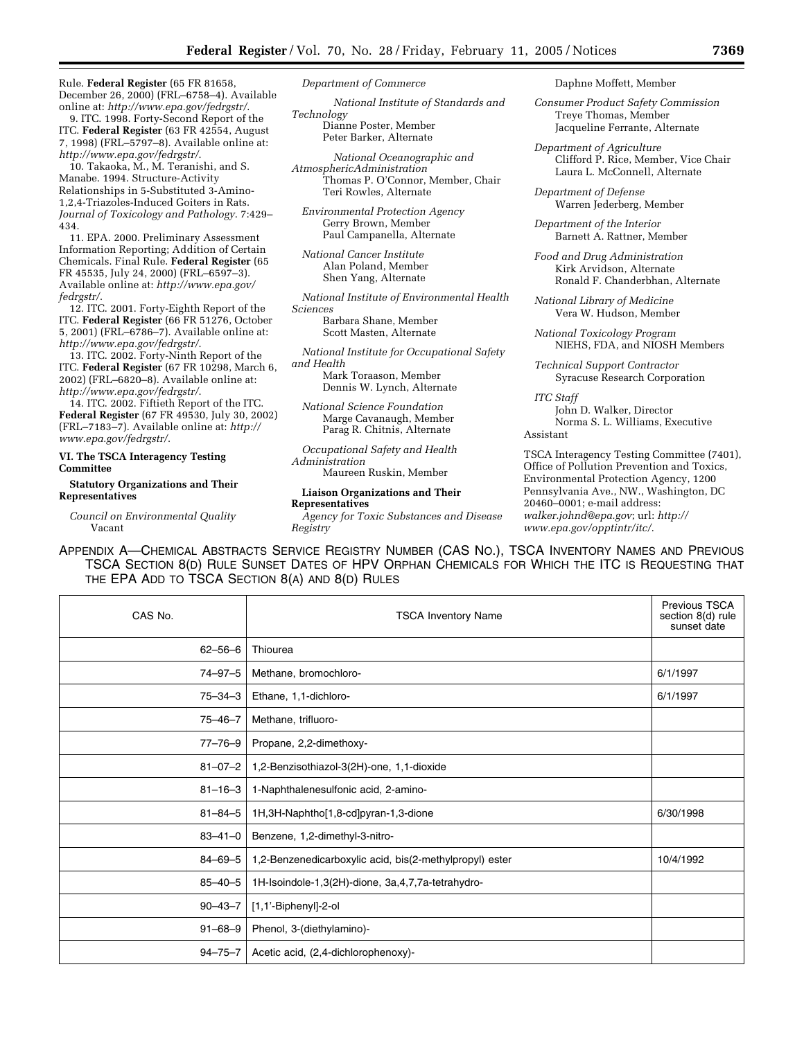Rule. **Federal Register** (65 FR 81658, December 26, 2000) (FRL–6758–4). Available online at: *http://www.epa.gov/fedrgstr/*.

9. ITC. 1998. Forty-Second Report of the ITC. **Federal Register** (63 FR 42554, August 7, 1998) (FRL–5797–8). Available online at: *http://www.epa.gov/fedrgstr/*.

10. Takaoka, M., M. Teranishi, and S. Manabe. 1994. Structure-Activity Relationships in 5-Substituted 3-Amino-1,2,4-Triazoles-Induced Goiters in Rats. *Journal of Toxicology and Pathology*. 7:429– 434.

11. EPA. 2000. Preliminary Assessment Information Reporting; Addition of Certain Chemicals. Final Rule. **Federal Register** (65 FR 45535, July 24, 2000) (FRL–6597–3). Available online at: *http://www.epa.gov/ fedrgstr/*.

12. ITC. 2001. Forty-Eighth Report of the ITC. **Federal Register** (66 FR 51276, October 5, 2001) (FRL–6786–7). Available online at: *http://www.epa.gov/fedrgstr/*.

13. ITC. 2002. Forty-Ninth Report of the ITC. **Federal Register** (67 FR 10298, March 6, 2002) (FRL–6820–8). Available online at: *http://www.epa.gov/fedrgstr/*.

14. ITC. 2002. Fiftieth Report of the ITC. **Federal Register** (67 FR 49530, July 30, 2002) (FRL–7183–7). Available online at: *http:// www.epa.gov/fedrgstr/*.

## **VI. The TSCA Interagency Testing Committee**

**Statutory Organizations and Their Representatives**

*Council on Environmental Quality* Vacant

*Department of Commerce*

*National Institute of Standards and Technology* Dianne Poster, Member Peter Barker, Alternate

*National Oceanographic and AtmosphericAdministration* Thomas P. O'Connor, Member, Chair Teri Rowles, Alternate

*Environmental Protection Agency* Gerry Brown, Member Paul Campanella, Alternate

*National Cancer Institute* Alan Poland, Member Shen Yang, Alternate

*National Institute of Environmental Health Sciences*

> Barbara Shane, Member Scott Masten, Alternate

*National Institute for Occupational Safety and Health*

Mark Toraason, Member Dennis W. Lynch, Alternate

*National Science Foundation* Marge Cavanaugh, Member Parag R. Chitnis, Alternate

*Occupational Safety and Health Administration* Maureen Ruskin, Member

**Liaison Organizations and Their** 

# **Representatives**

*Agency for Toxic Substances and Disease Registry*

Daphne Moffett, Member

*Consumer Product Safety Commission* Treye Thomas, Member Jacqueline Ferrante, Alternate

*Department of Agriculture* Clifford P. Rice, Member, Vice Chair Laura L. McConnell, Alternate

*Department of Defense* Warren Jederberg, Member

*Department of the Interior* Barnett A. Rattner, Member

*Food and Drug Administration* Kirk Arvidson, Alternate Ronald F. Chanderbhan, Alternate

*National Library of Medicine* Vera W. Hudson, Member

*National Toxicology Program* NIEHS, FDA, and NIOSH Members

*Technical Support Contractor* Syracuse Research Corporation

*ITC Staff* John D. Walker, Director Norma S. L. Williams, Executive Assistant

TSCA Interagency Testing Committee (7401), Office of Pollution Prevention and Toxics, Environmental Protection Agency, 1200 Pennsylvania Ave., NW., Washington, DC 20460–0001; e-mail address: *walker.johnd@epa.gov*; url: *http:// www.epa.gov/opptintr/itc/*.

| CAS No.       | <b>TSCA Inventory Name</b>                              | <b>Previous TSCA</b><br>section 8(d) rule<br>sunset date |
|---------------|---------------------------------------------------------|----------------------------------------------------------|
| $62 - 56 - 6$ | Thiourea                                                |                                                          |
| $74 - 97 - 5$ | Methane, bromochloro-                                   | 6/1/1997                                                 |
| $75 - 34 - 3$ | Ethane, 1,1-dichloro-                                   | 6/1/1997                                                 |
| $75 - 46 - 7$ | Methane, trifluoro-                                     |                                                          |
| $77 - 76 - 9$ | Propane, 2,2-dimethoxy-                                 |                                                          |
| $81 - 07 - 2$ | 1,2-Benzisothiazol-3(2H)-one, 1,1-dioxide               |                                                          |
| $81 - 16 - 3$ | 1-Naphthalenesulfonic acid, 2-amino-                    |                                                          |
| $81 - 84 - 5$ | 1H, 3H-Naphtho <sup>[1, 8-cd]</sup> pyran-1, 3-dione    | 6/30/1998                                                |
| $83 - 41 - 0$ | Benzene, 1,2-dimethyl-3-nitro-                          |                                                          |
| $84 - 69 - 5$ | 1,2-Benzenedicarboxylic acid, bis(2-methylpropyl) ester | 10/4/1992                                                |
| $85 - 40 - 5$ | 1H-Isoindole-1,3(2H)-dione, 3a,4,7,7a-tetrahydro-       |                                                          |
| $90 - 43 - 7$ | $[1,1'$ -Biphenyl]-2-ol                                 |                                                          |
| $91 - 68 - 9$ | Phenol, 3-(diethylamino)-                               |                                                          |
| $94 - 75 - 7$ | Acetic acid, (2,4-dichlorophenoxy)-                     |                                                          |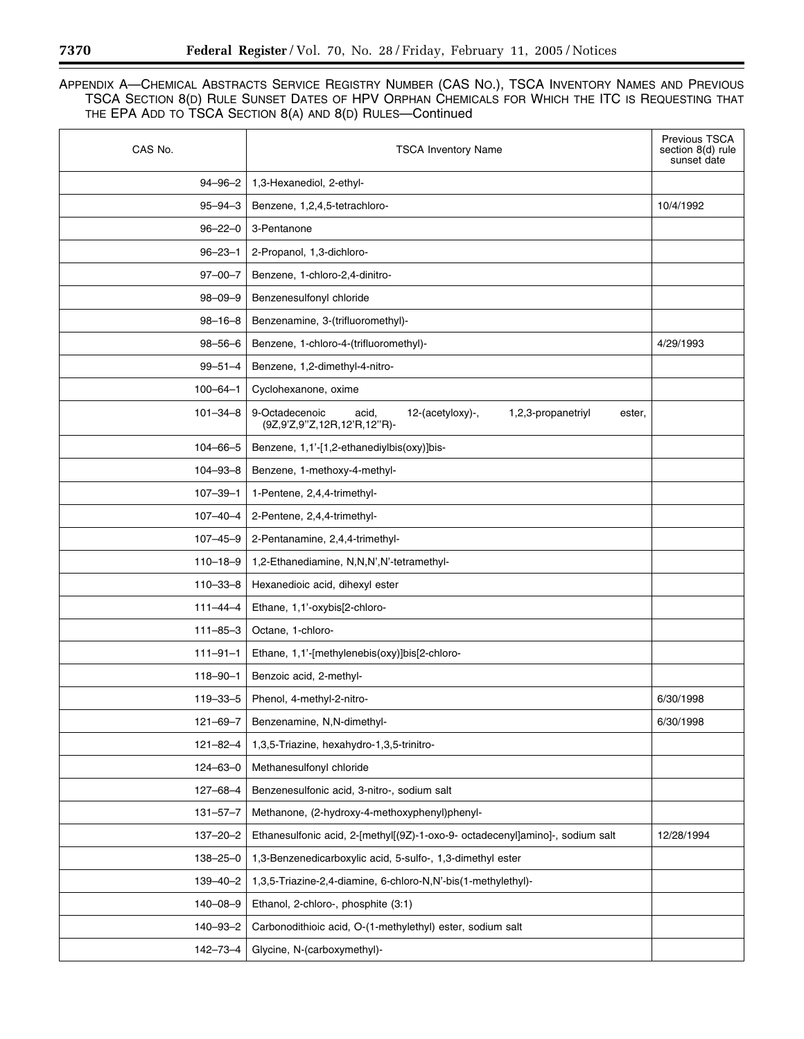| CAS No.        | <b>TSCA Inventory Name</b>                                                                                 | Previous TSCA<br>section 8(d) rule<br>sunset date |
|----------------|------------------------------------------------------------------------------------------------------------|---------------------------------------------------|
| $94 - 96 - 2$  | 1,3-Hexanediol, 2-ethyl-                                                                                   |                                                   |
| $95 - 94 - 3$  | Benzene, 1,2,4,5-tetrachloro-                                                                              | 10/4/1992                                         |
| $96 - 22 - 0$  | 3-Pentanone                                                                                                |                                                   |
| $96 - 23 - 1$  | 2-Propanol, 1,3-dichloro-                                                                                  |                                                   |
| $97 - 00 - 7$  | Benzene, 1-chloro-2,4-dinitro-                                                                             |                                                   |
| $98 - 09 - 9$  | Benzenesulfonyl chloride                                                                                   |                                                   |
| $98 - 16 - 8$  | Benzenamine, 3-(trifluoromethyl)-                                                                          |                                                   |
| $98 - 56 - 6$  | Benzene, 1-chloro-4-(trifluoromethyl)-                                                                     | 4/29/1993                                         |
| $99 - 51 - 4$  | Benzene, 1,2-dimethyl-4-nitro-                                                                             |                                                   |
| $100 - 64 - 1$ | Cyclohexanone, oxime                                                                                       |                                                   |
| $101 - 34 - 8$ | 9-Octadecenoic<br>acid,<br>12-(acetyloxy)-,<br>1,2,3-propanetriyl<br>ester,<br>(9Z,9'Z,9"Z,12R,12'R,12"R)- |                                                   |
| $104 - 66 - 5$ | Benzene, 1,1'-[1,2-ethanediylbis(oxy)]bis-                                                                 |                                                   |
| $104 - 93 - 8$ | Benzene, 1-methoxy-4-methyl-                                                                               |                                                   |
| $107 - 39 - 1$ | 1-Pentene, 2,4,4-trimethyl-                                                                                |                                                   |
| $107 - 40 - 4$ | 2-Pentene, 2,4,4-trimethyl-                                                                                |                                                   |
| $107 - 45 - 9$ | 2-Pentanamine, 2,4,4-trimethyl-                                                                            |                                                   |
| $110 - 18 - 9$ | 1,2-Ethanediamine, N,N,N',N'-tetramethyl-                                                                  |                                                   |
| $110 - 33 - 8$ | Hexanedioic acid, dihexyl ester                                                                            |                                                   |
| $111 - 44 - 4$ | Ethane, 1,1'-oxybis[2-chloro-                                                                              |                                                   |
| $111 - 85 - 3$ | Octane, 1-chloro-                                                                                          |                                                   |
| $111 - 91 - 1$ | Ethane, 1,1'-[methylenebis(oxy)]bis[2-chloro-                                                              |                                                   |
| $118 - 90 - 1$ | Benzoic acid, 2-methyl-                                                                                    |                                                   |
| $119 - 33 - 5$ | Phenol, 4-methyl-2-nitro-                                                                                  | 6/30/1998                                         |
| $121 - 69 - 7$ | Benzenamine, N,N-dimethyl-                                                                                 | 6/30/1998                                         |
| $121 - 82 - 4$ | 1,3,5-Triazine, hexahydro-1,3,5-trinitro-                                                                  |                                                   |
| $124 - 63 - 0$ | Methanesulfonyl chloride                                                                                   |                                                   |
| $127 - 68 - 4$ | Benzenesulfonic acid, 3-nitro-, sodium salt                                                                |                                                   |
| $131 - 57 - 7$ | Methanone, (2-hydroxy-4-methoxyphenyl)phenyl-                                                              |                                                   |
| $137 - 20 - 2$ | Ethanesulfonic acid, 2-[methyl[(9Z)-1-oxo-9- octadecenyl]amino]-, sodium salt                              | 12/28/1994                                        |
| $138 - 25 - 0$ | 1,3-Benzenedicarboxylic acid, 5-sulfo-, 1,3-dimethyl ester                                                 |                                                   |
| $139 - 40 - 2$ | 1,3,5-Triazine-2,4-diamine, 6-chloro-N,N'-bis(1-methylethyl)-                                              |                                                   |
| 140-08-9       | Ethanol, 2-chloro-, phosphite (3:1)                                                                        |                                                   |
| $140 - 93 - 2$ | Carbonodithioic acid, O-(1-methylethyl) ester, sodium salt                                                 |                                                   |
| $142 - 73 - 4$ | Glycine, N-(carboxymethyl)-                                                                                |                                                   |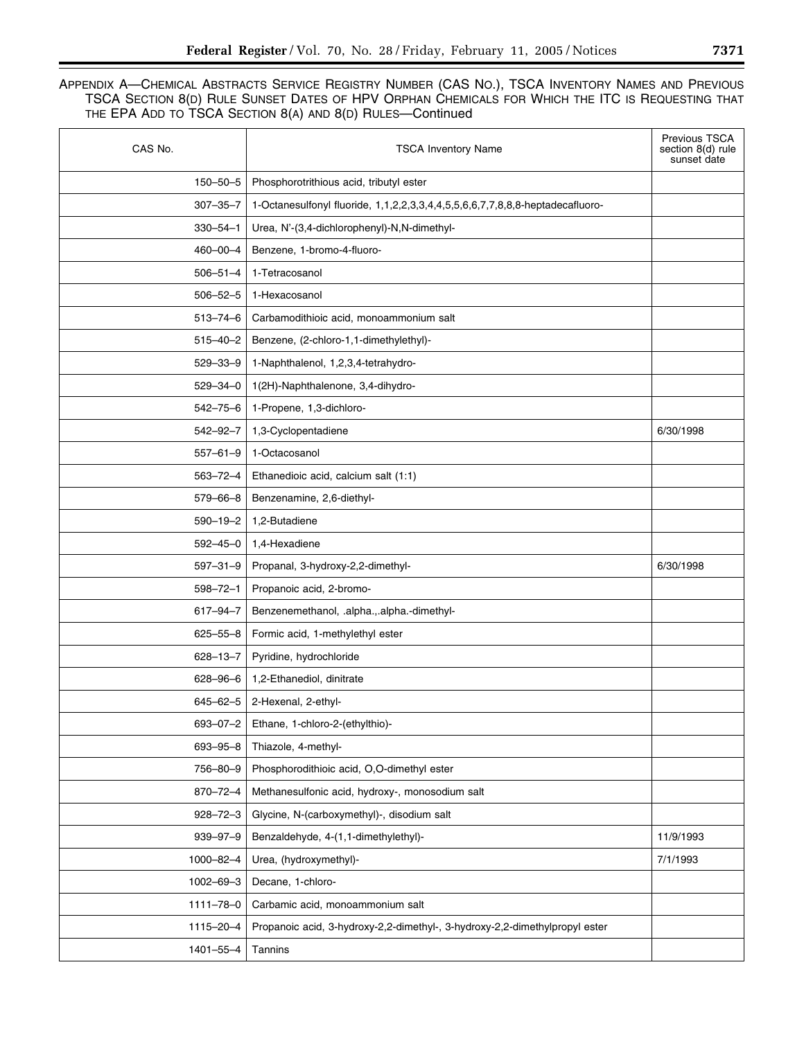| CAS No.         | <b>TSCA Inventory Name</b>                                                    | Previous TSCA<br>section 8(d) rule<br>sunset date |
|-----------------|-------------------------------------------------------------------------------|---------------------------------------------------|
| $150 - 50 - 5$  | Phosphorotrithious acid, tributyl ester                                       |                                                   |
| $307 - 35 - 7$  | 1-Octanesulfonyl fluoride, 1,1,2,2,3,3,4,4,5,5,6,6,7,7,8,8,8-heptadecafluoro- |                                                   |
| $330 - 54 - 1$  | Urea, N'-(3,4-dichlorophenyl)-N,N-dimethyl-                                   |                                                   |
| 460-00-4        | Benzene, 1-bromo-4-fluoro-                                                    |                                                   |
| $506 - 51 - 4$  | 1-Tetracosanol                                                                |                                                   |
| $506 - 52 - 5$  | 1-Hexacosanol                                                                 |                                                   |
| $513 - 74 - 6$  | Carbamodithioic acid, monoammonium salt                                       |                                                   |
| $515 - 40 - 2$  | Benzene, (2-chloro-1,1-dimethylethyl)-                                        |                                                   |
| $529 - 33 - 9$  | 1-Naphthalenol, 1,2,3,4-tetrahydro-                                           |                                                   |
| $529 - 34 - 0$  | 1(2H)-Naphthalenone, 3,4-dihydro-                                             |                                                   |
| $542 - 75 - 6$  | 1-Propene, 1,3-dichloro-                                                      |                                                   |
| $542 - 92 - 7$  | 1,3-Cyclopentadiene                                                           | 6/30/1998                                         |
| $557 - 61 - 9$  | 1-Octacosanol                                                                 |                                                   |
| 563-72-4        | Ethanedioic acid, calcium salt (1:1)                                          |                                                   |
| $579 - 66 - 8$  | Benzenamine, 2,6-diethyl-                                                     |                                                   |
| $590 - 19 - 2$  | 1,2-Butadiene                                                                 |                                                   |
| $592 - 45 - 0$  | 1,4-Hexadiene                                                                 |                                                   |
| $597 - 31 - 9$  | Propanal, 3-hydroxy-2,2-dimethyl-                                             | 6/30/1998                                         |
| $598 - 72 - 1$  | Propanoic acid, 2-bromo-                                                      |                                                   |
| $617 - 94 - 7$  | Benzenemethanol, .alpha.,.alpha.-dimethyl-                                    |                                                   |
| $625 - 55 - 8$  | Formic acid, 1-methylethyl ester                                              |                                                   |
| $628 - 13 - 7$  | Pyridine, hydrochloride                                                       |                                                   |
| $628 - 96 - 6$  | 1,2-Ethanediol, dinitrate                                                     |                                                   |
| $645 - 62 - 5$  | 2-Hexenal, 2-ethyl-                                                           |                                                   |
| $693 - 07 - 2$  | Ethane, 1-chloro-2-(ethylthio)-                                               |                                                   |
| 693-95-8        | Thiazole, 4-methyl-                                                           |                                                   |
| 756-80-9        | Phosphorodithioic acid, O,O-dimethyl ester                                    |                                                   |
| $870 - 72 - 4$  | Methanesulfonic acid, hydroxy-, monosodium salt                               |                                                   |
| $928 - 72 - 3$  | Glycine, N-(carboxymethyl)-, disodium salt                                    |                                                   |
| $939 - 97 - 9$  | Benzaldehyde, 4-(1,1-dimethylethyl)-                                          | 11/9/1993                                         |
| 1000-82-4       | Urea, (hydroxymethyl)-                                                        | 7/1/1993                                          |
| $1002 - 69 - 3$ | Decane, 1-chloro-                                                             |                                                   |
| $1111 - 78 - 0$ | Carbamic acid, monoammonium salt                                              |                                                   |
| 1115-20-4       | Propanoic acid, 3-hydroxy-2,2-dimethyl-, 3-hydroxy-2,2-dimethylpropyl ester   |                                                   |
| 1401-55-4       | Tannins                                                                       |                                                   |
|                 |                                                                               |                                                   |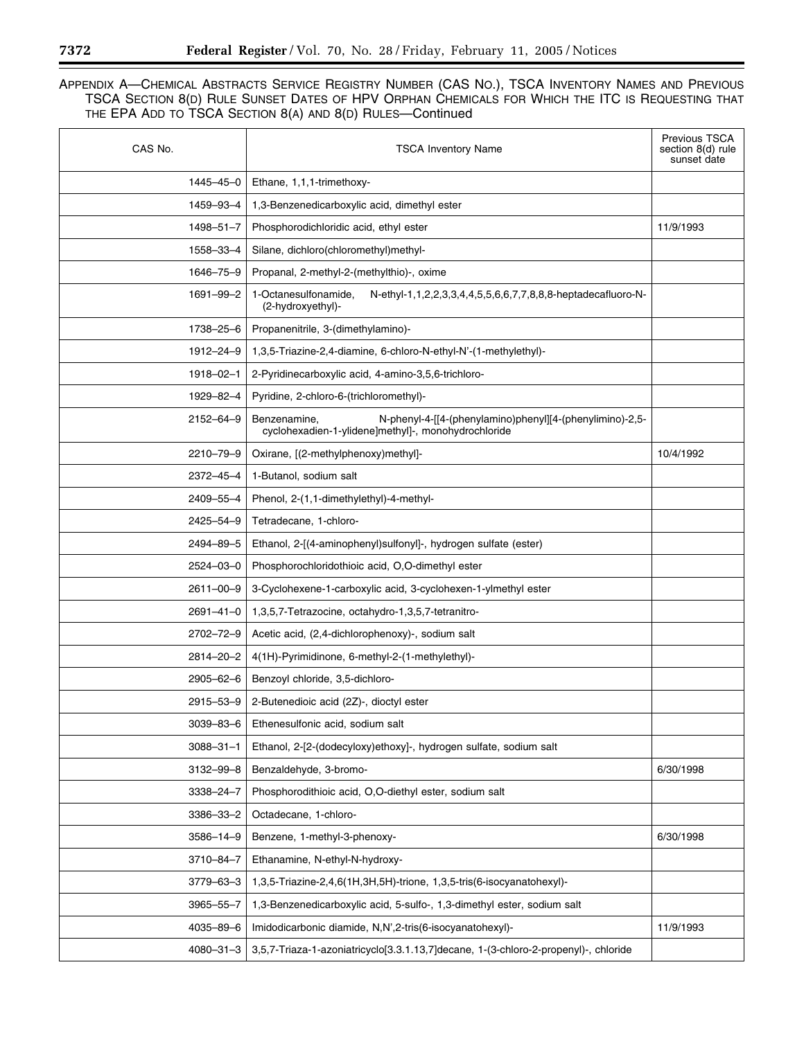| CAS No.         | <b>TSCA Inventory Name</b>                                                                                                      | <b>Previous TSCA</b><br>section 8(d) rule<br>sunset date |
|-----------------|---------------------------------------------------------------------------------------------------------------------------------|----------------------------------------------------------|
| 1445-45-0       | Ethane, 1,1,1-trimethoxy-                                                                                                       |                                                          |
| 1459-93-4       | 1,3-Benzenedicarboxylic acid, dimethyl ester                                                                                    |                                                          |
| $1498 - 51 - 7$ | Phosphorodichloridic acid, ethyl ester                                                                                          | 11/9/1993                                                |
| 1558-33-4       | Silane, dichloro(chloromethyl)methyl-                                                                                           |                                                          |
| 1646-75-9       | Propanal, 2-methyl-2-(methylthio)-, oxime                                                                                       |                                                          |
| 1691-99-2       | 1-Octanesulfonamide,<br>N-ethyl-1,1,2,2,3,3,4,4,5,5,6,6,7,7,8,8,8-heptadecafluoro-N-<br>(2-hydroxyethyl)-                       |                                                          |
| 1738-25-6       | Propanenitrile, 3-(dimethylamino)-                                                                                              |                                                          |
| 1912-24-9       | 1,3,5-Triazine-2,4-diamine, 6-chloro-N-ethyl-N'-(1-methylethyl)-                                                                |                                                          |
| 1918-02-1       | 2-Pyridinecarboxylic acid, 4-amino-3,5,6-trichloro-                                                                             |                                                          |
| 1929-82-4       | Pyridine, 2-chloro-6-(trichloromethyl)-                                                                                         |                                                          |
| 2152-64-9       | N-phenyl-4-[[4-(phenylamino)phenyl][4-(phenylimino)-2,5-<br>Benzenamine,<br>cyclohexadien-1-ylidene]methyl]-, monohydrochloride |                                                          |
| 2210-79-9       | Oxirane, [(2-methylphenoxy)methyl]-                                                                                             | 10/4/1992                                                |
| 2372-45-4       | 1-Butanol, sodium salt                                                                                                          |                                                          |
| 2409-55-4       | Phenol, 2-(1,1-dimethylethyl)-4-methyl-                                                                                         |                                                          |
| 2425-54-9       | Tetradecane, 1-chloro-                                                                                                          |                                                          |
| 2494-89-5       | Ethanol, 2-[(4-aminophenyl)sulfonyl]-, hydrogen sulfate (ester)                                                                 |                                                          |
| 2524-03-0       | Phosphorochloridothioic acid, O,O-dimethyl ester                                                                                |                                                          |
| 2611-00-9       | 3-Cyclohexene-1-carboxylic acid, 3-cyclohexen-1-ylmethyl ester                                                                  |                                                          |
| $2691 - 41 - 0$ | 1,3,5,7-Tetrazocine, octahydro-1,3,5,7-tetranitro-                                                                              |                                                          |
| 2702-72-9       | Acetic acid, (2,4-dichlorophenoxy)-, sodium salt                                                                                |                                                          |
| 2814-20-2       | 4(1H)-Pyrimidinone, 6-methyl-2-(1-methylethyl)-                                                                                 |                                                          |
| 2905-62-6       | Benzoyl chloride, 3,5-dichloro-                                                                                                 |                                                          |
| 2915-53-9       | 2-Butenedioic acid (2Z)-, dioctyl ester                                                                                         |                                                          |
| $3039 - 83 - 6$ | Ethenesulfonic acid, sodium salt                                                                                                |                                                          |
| $3088 - 31 - 1$ | Ethanol, 2-[2-(dodecyloxy)ethoxy]-, hydrogen sulfate, sodium salt                                                               |                                                          |
| 3132-99-8       | Benzaldehyde, 3-bromo-                                                                                                          | 6/30/1998                                                |
| 3338-24-7       | Phosphorodithioic acid, O,O-diethyl ester, sodium salt                                                                          |                                                          |
| 3386-33-2       | Octadecane, 1-chloro-                                                                                                           |                                                          |
| $3586 - 14 - 9$ | Benzene, 1-methyl-3-phenoxy-                                                                                                    | 6/30/1998                                                |
| 3710-84-7       | Ethanamine, N-ethyl-N-hydroxy-                                                                                                  |                                                          |
| 3779-63-3       | 1,3,5-Triazine-2,4,6(1H,3H,5H)-trione, 1,3,5-tris(6-isocyanatohexyl)-                                                           |                                                          |
| 3965-55-7       | 1,3-Benzenedicarboxylic acid, 5-sulfo-, 1,3-dimethyl ester, sodium salt                                                         |                                                          |
| 4035-89-6       | Imidodicarbonic diamide, N,N',2-tris(6-isocyanatohexyl)-                                                                        | 11/9/1993                                                |
| $4080 - 31 - 3$ | 3,5,7-Triaza-1-azoniatricyclo[3.3.1.13,7]decane, 1-(3-chloro-2-propenyl)-, chloride                                             |                                                          |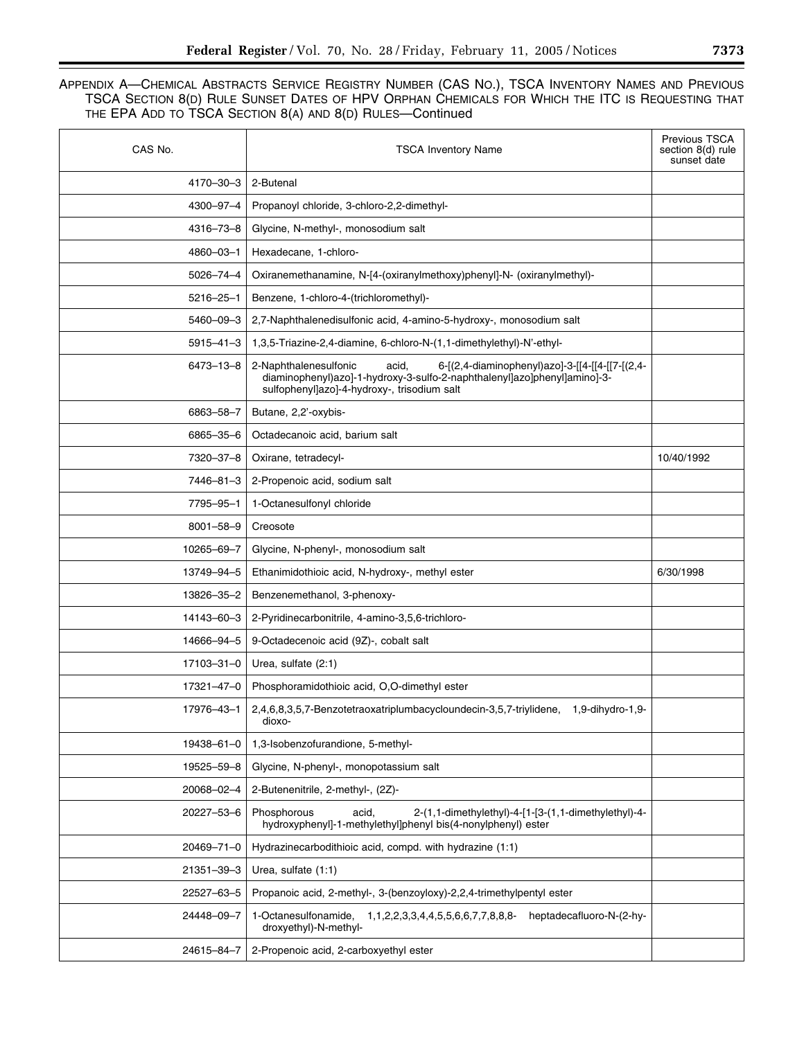| CAS No.         | <b>TSCA Inventory Name</b>                                                                                                                                                                                   | <b>Previous TSCA</b><br>section 8(d) rule<br>sunset date |
|-----------------|--------------------------------------------------------------------------------------------------------------------------------------------------------------------------------------------------------------|----------------------------------------------------------|
| 4170-30-3       | 2-Butenal                                                                                                                                                                                                    |                                                          |
| 4300-97-4       | Propanoyl chloride, 3-chloro-2,2-dimethyl-                                                                                                                                                                   |                                                          |
| 4316-73-8       | Glycine, N-methyl-, monosodium salt                                                                                                                                                                          |                                                          |
| 4860-03-1       | Hexadecane, 1-chloro-                                                                                                                                                                                        |                                                          |
| $5026 - 74 - 4$ | Oxiranemethanamine, N-[4-(oxiranylmethoxy)phenyl]-N- (oxiranylmethyl)-                                                                                                                                       |                                                          |
| $5216 - 25 - 1$ | Benzene, 1-chloro-4-(trichloromethyl)-                                                                                                                                                                       |                                                          |
| 5460-09-3       | 2,7-Naphthalenedisulfonic acid, 4-amino-5-hydroxy-, monosodium salt                                                                                                                                          |                                                          |
| $5915 - 41 - 3$ | 1,3,5-Triazine-2,4-diamine, 6-chloro-N-(1,1-dimethylethyl)-N'-ethyl-                                                                                                                                         |                                                          |
| 6473-13-8       | 2-Naphthalenesulfonic<br>6-[(2,4-diaminophenyl)azo]-3-[[4-[[4-[[7-[(2,4-<br>acid,<br>diaminophenyl)azo]-1-hydroxy-3-sulfo-2-naphthalenyl]azo]phenyl]amino]-3-<br>sulfophenyl]azo]-4-hydroxy-, trisodium salt |                                                          |
| 6863-58-7       | Butane, 2,2'-oxybis-                                                                                                                                                                                         |                                                          |
| 6865-35-6       | Octadecanoic acid, barium salt                                                                                                                                                                               |                                                          |
| 7320-37-8       | Oxirane, tetradecyl-                                                                                                                                                                                         | 10/40/1992                                               |
| 7446-81-3       | 2-Propenoic acid, sodium salt                                                                                                                                                                                |                                                          |
| 7795-95-1       | 1-Octanesulfonyl chloride                                                                                                                                                                                    |                                                          |
| $8001 - 58 - 9$ | Creosote                                                                                                                                                                                                     |                                                          |
| 10265-69-7      | Glycine, N-phenyl-, monosodium salt                                                                                                                                                                          |                                                          |
| 13749-94-5      | Ethanimidothioic acid, N-hydroxy-, methyl ester                                                                                                                                                              | 6/30/1998                                                |
| 13826-35-2      | Benzenemethanol, 3-phenoxy-                                                                                                                                                                                  |                                                          |
| 14143-60-3      | 2-Pyridinecarbonitrile, 4-amino-3,5,6-trichloro-                                                                                                                                                             |                                                          |
| 14666-94-5      | 9-Octadecenoic acid (9Z)-, cobalt salt                                                                                                                                                                       |                                                          |
| 17103-31-0      | Urea, sulfate (2:1)                                                                                                                                                                                          |                                                          |
| 17321-47-0      | Phosphoramidothioic acid, O,O-dimethyl ester                                                                                                                                                                 |                                                          |
| 17976–43–1      | 2,4,6,8,3,5,7-Benzotetraoxatriplumbacycloundecin-3,5,7-triylidene,<br>1,9-dihydro-1,9-<br>dioxo-                                                                                                             |                                                          |
| 19438-61-0      | 1,3-Isobenzofurandione, 5-methyl-                                                                                                                                                                            |                                                          |
| 19525-59-8      | Glycine, N-phenyl-, monopotassium salt                                                                                                                                                                       |                                                          |
| 20068-02-4      | 2-Butenenitrile, 2-methyl-, (2Z)-                                                                                                                                                                            |                                                          |
| 20227-53-6      | Phosphorous<br>2-(1,1-dimethylethyl)-4-[1-[3-(1,1-dimethylethyl)-4-<br>acid,<br>hydroxyphenyl]-1-methylethyl]phenyl bis(4-nonylphenyl) ester                                                                 |                                                          |
| 20469-71-0      | Hydrazinecarbodithioic acid, compd. with hydrazine (1:1)                                                                                                                                                     |                                                          |
| 21351-39-3      | Urea, sulfate (1:1)                                                                                                                                                                                          |                                                          |
| 22527-63-5      | Propanoic acid, 2-methyl-, 3-(benzoyloxy)-2,2,4-trimethylpentyl ester                                                                                                                                        |                                                          |
| 24448-09-7      | 1-Octanesulfonamide,<br>heptadecafluoro-N-(2-hy-<br>1, 1, 2, 2, 3, 3, 4, 4, 5, 5, 6, 6, 7, 7, 8, 8, 8-<br>droxyethyl)-N-methyl-                                                                              |                                                          |
| 24615-84-7      | 2-Propenoic acid, 2-carboxyethyl ester                                                                                                                                                                       |                                                          |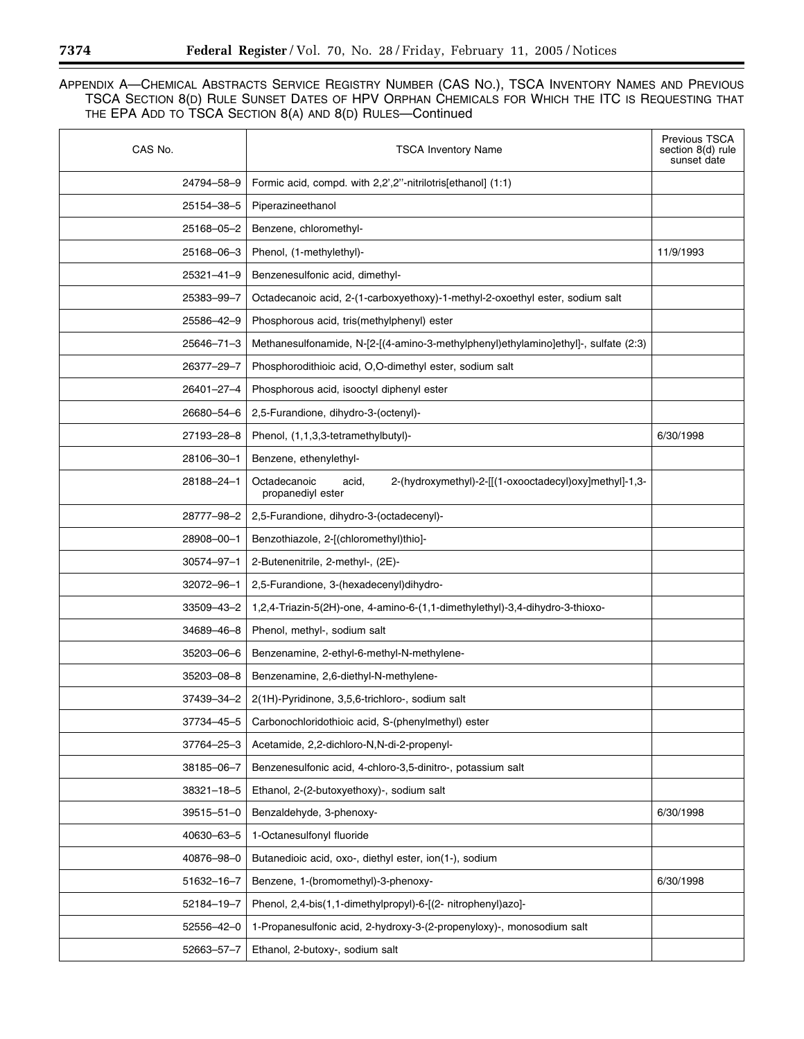| CAS No.          | <b>TSCA Inventory Name</b>                                                                           | Previous TSCA<br>section 8(d) rule<br>sunset date |
|------------------|------------------------------------------------------------------------------------------------------|---------------------------------------------------|
| 24794-58-9       | Formic acid, compd. with 2,2',2"-nitrilotris[ethanol] (1:1)                                          |                                                   |
| 25154-38-5       | Piperazineethanol                                                                                    |                                                   |
| 25168-05-2       | Benzene, chloromethyl-                                                                               |                                                   |
| 25168-06-3       | Phenol, (1-methylethyl)-                                                                             | 11/9/1993                                         |
| 25321-41-9       | Benzenesulfonic acid, dimethyl-                                                                      |                                                   |
| 25383-99-7       | Octadecanoic acid, 2-(1-carboxyethoxy)-1-methyl-2-oxoethyl ester, sodium salt                        |                                                   |
| 25586-42-9       | Phosphorous acid, tris(methylphenyl) ester                                                           |                                                   |
| 25646-71-3       | Methanesulfonamide, N-[2-[(4-amino-3-methylphenyl)ethylamino]ethyl]-, sulfate (2:3)                  |                                                   |
| 26377-29-7       | Phosphorodithioic acid, O,O-dimethyl ester, sodium salt                                              |                                                   |
| 26401-27-4       | Phosphorous acid, isooctyl diphenyl ester                                                            |                                                   |
| 26680-54-6       | 2,5-Furandione, dihydro-3-(octenyl)-                                                                 |                                                   |
| 27193-28-8       | Phenol, (1,1,3,3-tetramethylbutyl)-                                                                  | 6/30/1998                                         |
| 28106-30-1       | Benzene, ethenylethyl-                                                                               |                                                   |
| 28188-24-1       | Octadecanoic<br>2-(hydroxymethyl)-2-[[(1-oxooctadecyl)oxy]methyl]-1,3-<br>acid,<br>propanediyl ester |                                                   |
| 28777-98-2       | 2,5-Furandione, dihydro-3-(octadecenyl)-                                                             |                                                   |
| 28908-00-1       | Benzothiazole, 2-[(chloromethyl)thio]-                                                               |                                                   |
| 30574-97-1       | 2-Butenenitrile, 2-methyl-, (2E)-                                                                    |                                                   |
| 32072-96-1       | 2,5-Furandione, 3-(hexadecenyl)dihydro-                                                              |                                                   |
| 33509-43-2       | 1,2,4-Triazin-5(2H)-one, 4-amino-6-(1,1-dimethylethyl)-3,4-dihydro-3-thioxo-                         |                                                   |
| 34689-46-8       | Phenol, methyl-, sodium salt                                                                         |                                                   |
| 35203-06-6       | Benzenamine, 2-ethyl-6-methyl-N-methylene-                                                           |                                                   |
| 35203-08-8       | Benzenamine, 2,6-diethyl-N-methylene-                                                                |                                                   |
| 37439-34-2       | 2(1H)-Pyridinone, 3,5,6-trichloro-, sodium salt                                                      |                                                   |
| 37734-45-5       | Carbonochloridothioic acid, S-(phenylmethyl) ester                                                   |                                                   |
| 37764-25-3       | Acetamide, 2,2-dichloro-N,N-di-2-propenyl-                                                           |                                                   |
| 38185-06-7       | Benzenesulfonic acid, 4-chloro-3,5-dinitro-, potassium salt                                          |                                                   |
| $38321 - 18 - 5$ | Ethanol, 2-(2-butoxyethoxy)-, sodium salt                                                            |                                                   |
| 39515-51-0       | Benzaldehyde, 3-phenoxy-                                                                             | 6/30/1998                                         |
| 40630-63-5       | 1-Octanesulfonyl fluoride                                                                            |                                                   |
| 40876-98-0       | Butanedioic acid, oxo-, diethyl ester, ion(1-), sodium                                               |                                                   |
| 51632-16-7       | Benzene, 1-(bromomethyl)-3-phenoxy-                                                                  | 6/30/1998                                         |
| 52184-19-7       | Phenol, 2,4-bis(1,1-dimethylpropyl)-6-[(2- nitrophenyl)azo]-                                         |                                                   |
| 52556-42-0       | 1-Propanesulfonic acid, 2-hydroxy-3-(2-propenyloxy)-, monosodium salt                                |                                                   |
| 52663-57-7       | Ethanol, 2-butoxy-, sodium salt                                                                      |                                                   |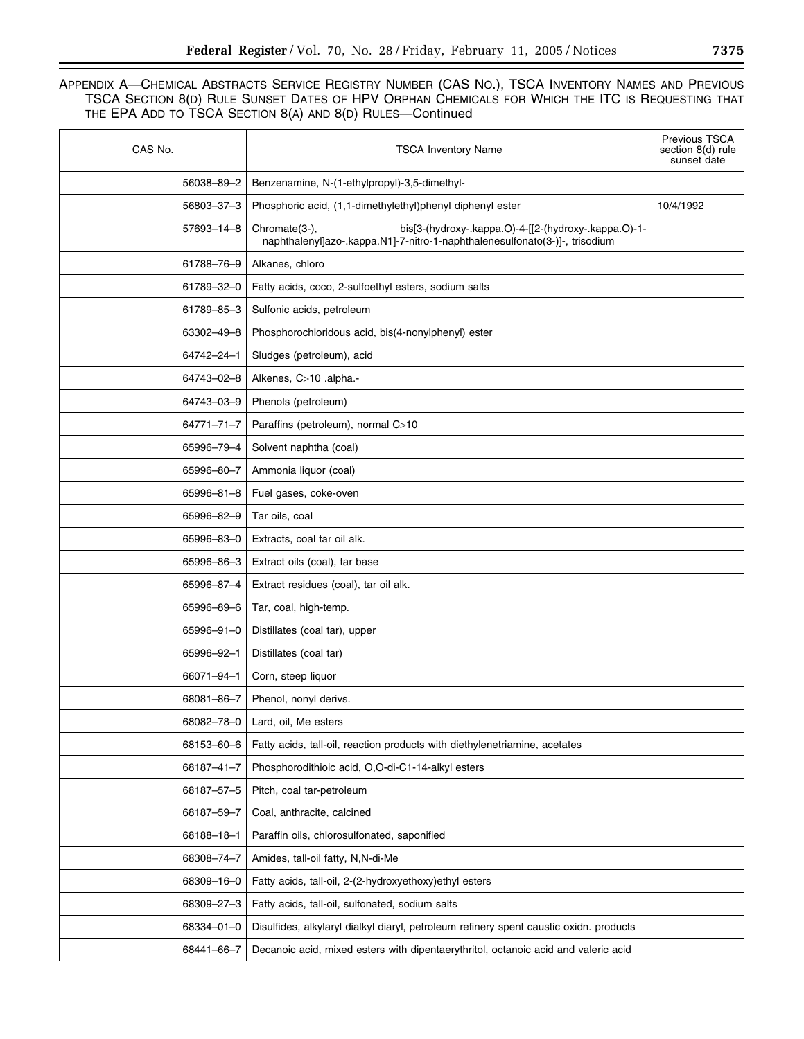| CAS No.    | <b>TSCA Inventory Name</b>                                                                                                                           | <b>Previous TSCA</b><br>section 8(d) rule<br>sunset date |
|------------|------------------------------------------------------------------------------------------------------------------------------------------------------|----------------------------------------------------------|
| 56038-89-2 | Benzenamine, N-(1-ethylpropyl)-3,5-dimethyl-                                                                                                         |                                                          |
| 56803-37-3 | Phosphoric acid, (1,1-dimethylethyl)phenyl diphenyl ester                                                                                            | 10/4/1992                                                |
| 57693-14-8 | bis[3-(hydroxy-.kappa.O)-4-[[2-(hydroxy-.kappa.O)-1-<br>Chromate(3-),<br>naphthalenyl]azo-.kappa.N1]-7-nitro-1-naphthalenesulfonato(3-)]-, trisodium |                                                          |
| 61788-76-9 | Alkanes, chloro                                                                                                                                      |                                                          |
| 61789-32-0 | Fatty acids, coco, 2-sulfoethyl esters, sodium salts                                                                                                 |                                                          |
| 61789-85-3 | Sulfonic acids, petroleum                                                                                                                            |                                                          |
| 63302-49-8 | Phosphorochloridous acid, bis(4-nonylphenyl) ester                                                                                                   |                                                          |
| 64742-24-1 | Sludges (petroleum), acid                                                                                                                            |                                                          |
| 64743-02-8 | Alkenes, C>10 .alpha.-                                                                                                                               |                                                          |
| 64743-03-9 | Phenols (petroleum)                                                                                                                                  |                                                          |
| 64771-71-7 | Paraffins (petroleum), normal C>10                                                                                                                   |                                                          |
| 65996-79-4 | Solvent naphtha (coal)                                                                                                                               |                                                          |
| 65996-80-7 | Ammonia liquor (coal)                                                                                                                                |                                                          |
| 65996-81-8 | Fuel gases, coke-oven                                                                                                                                |                                                          |
| 65996-82-9 | Tar oils, coal                                                                                                                                       |                                                          |
| 65996-83-0 | Extracts, coal tar oil alk.                                                                                                                          |                                                          |
| 65996-86-3 | Extract oils (coal), tar base                                                                                                                        |                                                          |
| 65996-87-4 | Extract residues (coal), tar oil alk.                                                                                                                |                                                          |
| 65996-89-6 | Tar, coal, high-temp.                                                                                                                                |                                                          |
| 65996-91-0 | Distillates (coal tar), upper                                                                                                                        |                                                          |
| 65996-92-1 | Distillates (coal tar)                                                                                                                               |                                                          |
| 66071-94-1 | Corn, steep liquor                                                                                                                                   |                                                          |
| 68081-86-7 | Phenol, nonyl derivs.                                                                                                                                |                                                          |
| 68082-78-0 | Lard, oil, Me esters                                                                                                                                 |                                                          |
| 68153-60-6 | Fatty acids, tall-oil, reaction products with diethylenetriamine, acetates                                                                           |                                                          |
| 68187-41-7 | Phosphorodithioic acid, O,O-di-C1-14-alkyl esters                                                                                                    |                                                          |
| 68187-57-5 | Pitch, coal tar-petroleum                                                                                                                            |                                                          |
| 68187-59-7 | Coal, anthracite, calcined                                                                                                                           |                                                          |
| 68188-18-1 | Paraffin oils, chlorosulfonated, saponified                                                                                                          |                                                          |
| 68308-74-7 | Amides, tall-oil fatty, N,N-di-Me                                                                                                                    |                                                          |
| 68309-16-0 | Fatty acids, tall-oil, 2-(2-hydroxyethoxy)ethyl esters                                                                                               |                                                          |
| 68309-27-3 | Fatty acids, tall-oil, sulfonated, sodium salts                                                                                                      |                                                          |
| 68334-01-0 | Disulfides, alkylaryl dialkyl diaryl, petroleum refinery spent caustic oxidn. products                                                               |                                                          |
| 68441-66-7 | Decanoic acid, mixed esters with dipentaerythritol, octanoic acid and valeric acid                                                                   |                                                          |
|            |                                                                                                                                                      |                                                          |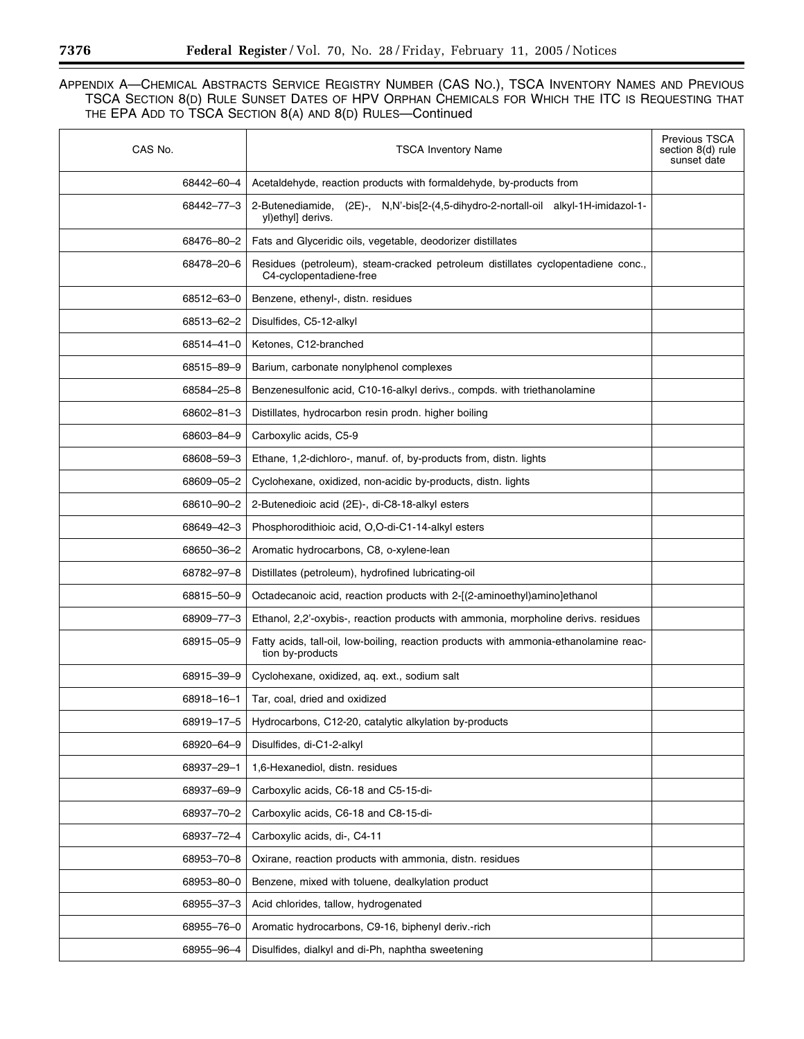| CAS No.    | <b>TSCA Inventory Name</b>                                                                                  | <b>Previous TSCA</b><br>section 8(d) rule<br>sunset date |
|------------|-------------------------------------------------------------------------------------------------------------|----------------------------------------------------------|
| 68442-60-4 | Acetaldehyde, reaction products with formaldehyde, by-products from                                         |                                                          |
| 68442-77-3 | 2-Butenediamide,<br>(2E)-, N,N'-bis[2-(4,5-dihydro-2-nortall-oil alkyl-1H-imidazol-1-<br>yl)ethyl] derivs.  |                                                          |
| 68476-80-2 | Fats and Glyceridic oils, vegetable, deodorizer distillates                                                 |                                                          |
| 68478-20-6 | Residues (petroleum), steam-cracked petroleum distillates cyclopentadiene conc.,<br>C4-cyclopentadiene-free |                                                          |
| 68512-63-0 | Benzene, ethenyl-, distn. residues                                                                          |                                                          |
| 68513-62-2 | Disulfides, C5-12-alkyl                                                                                     |                                                          |
| 68514-41-0 | Ketones, C12-branched                                                                                       |                                                          |
| 68515-89-9 | Barium, carbonate nonylphenol complexes                                                                     |                                                          |
| 68584-25-8 | Benzenesulfonic acid, C10-16-alkyl derivs., compds. with triethanolamine                                    |                                                          |
| 68602-81-3 | Distillates, hydrocarbon resin prodn. higher boiling                                                        |                                                          |
| 68603-84-9 | Carboxylic acids, C5-9                                                                                      |                                                          |
| 68608-59-3 | Ethane, 1,2-dichloro-, manuf. of, by-products from, distn. lights                                           |                                                          |
| 68609-05-2 | Cyclohexane, oxidized, non-acidic by-products, distn. lights                                                |                                                          |
| 68610-90-2 | 2-Butenedioic acid (2E)-, di-C8-18-alkyl esters                                                             |                                                          |
| 68649-42-3 | Phosphorodithioic acid, O,O-di-C1-14-alkyl esters                                                           |                                                          |
| 68650-36-2 | Aromatic hydrocarbons, C8, o-xylene-lean                                                                    |                                                          |
| 68782-97-8 | Distillates (petroleum), hydrofined lubricating-oil                                                         |                                                          |
| 68815-50-9 | Octadecanoic acid, reaction products with 2-[(2-aminoethyl)amino]ethanol                                    |                                                          |
| 68909-77-3 | Ethanol, 2,2'-oxybis-, reaction products with ammonia, morpholine derivs. residues                          |                                                          |
| 68915-05-9 | Fatty acids, tall-oil, low-boiling, reaction products with ammonia-ethanolamine reac-<br>tion by-products   |                                                          |
| 68915-39-9 | Cyclohexane, oxidized, aq. ext., sodium salt                                                                |                                                          |
| 68918-16-1 | Tar, coal, dried and oxidized                                                                               |                                                          |
| 68919-17-5 | Hydrocarbons, C12-20, catalytic alkylation by-products                                                      |                                                          |
| 68920-64-9 | Disulfides, di-C1-2-alkyl                                                                                   |                                                          |
| 68937-29-1 | 1,6-Hexanediol, distn. residues                                                                             |                                                          |
| 68937-69-9 | Carboxylic acids, C6-18 and C5-15-di-                                                                       |                                                          |
| 68937-70-2 | Carboxylic acids, C6-18 and C8-15-di-                                                                       |                                                          |
| 68937-72-4 | Carboxylic acids, di-, C4-11                                                                                |                                                          |
| 68953-70-8 | Oxirane, reaction products with ammonia, distn. residues                                                    |                                                          |
| 68953-80-0 | Benzene, mixed with toluene, dealkylation product                                                           |                                                          |
| 68955-37-3 | Acid chlorides, tallow, hydrogenated                                                                        |                                                          |
| 68955-76-0 | Aromatic hydrocarbons, C9-16, biphenyl deriv.-rich                                                          |                                                          |
| 68955-96-4 | Disulfides, dialkyl and di-Ph, naphtha sweetening                                                           |                                                          |